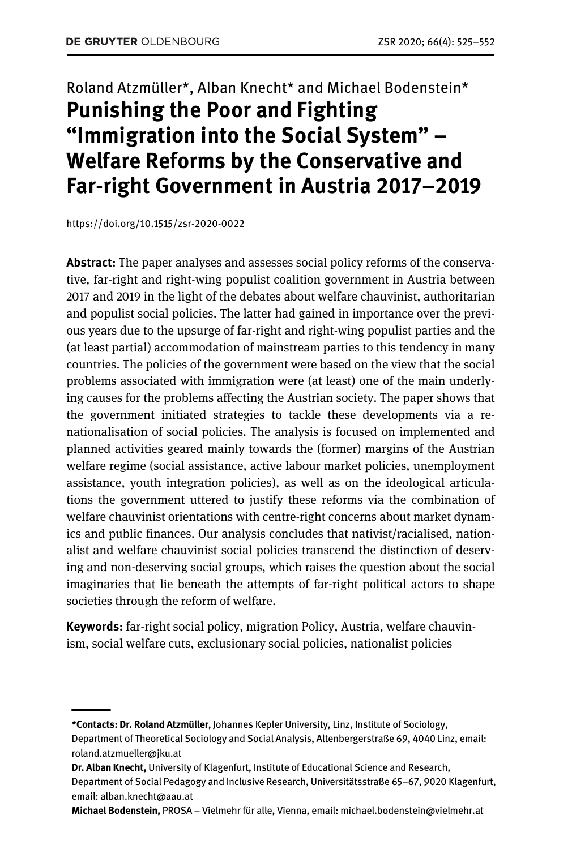# Roland Atzmüller\*, Alban Knecht\* and Michael Bodenstein\* **Punishing the Poor and Fighting "Immigration into the Social System" – Welfare Reforms by the Conservative and Far-right Government in Austria 2017–2019**

https://doi.org/10.1515/zsr-2020-0022

——

**Abstract:** The paper analyses and assesses social policy reforms of the conservative, far-right and right-wing populist coalition government in Austria between 2017 and 2019 in the light of the debates about welfare chauvinist, authoritarian and populist social policies. The latter had gained in importance over the previous years due to the upsurge of far-right and right-wing populist parties and the (at least partial) accommodation of mainstream parties to this tendency in many countries. The policies of the government were based on the view that the social problems associated with immigration were (at least) one of the main underlying causes for the problems affecting the Austrian society. The paper shows that the government initiated strategies to tackle these developments via a renationalisation of social policies. The analysis is focused on implemented and planned activities geared mainly towards the (former) margins of the Austrian welfare regime (social assistance, active labour market policies, unemployment assistance, youth integration policies), as well as on the ideological articulations the government uttered to justify these reforms via the combination of welfare chauvinist orientations with centre-right concerns about market dynamics and public finances. Our analysis concludes that nativist/racialised, nationalist and welfare chauvinist social policies transcend the distinction of deserving and non-deserving social groups, which raises the question about the social imaginaries that lie beneath the attempts of far-right political actors to shape societies through the reform of welfare.

**Keywords:** far-right social policy, migration Policy, Austria, welfare chauvinism, social welfare cuts, exclusionary social policies, nationalist policies

**Michael Bodenstein,** PROSA – Vielmehr für alle, Vienna, email: michael.bodenstein@vielmehr.at

**<sup>\*</sup>Contacts: Dr. Roland Atzmüller**, Johannes Kepler University, Linz, Institute of Sociology,

Department of Theoretical Sociology and Social Analysis, Altenbergerstraße 69, 4040 Linz, email: roland.atzmueller@jku.at

**Dr. Alban Knecht,** University of Klagenfurt, Institute of Educational Science and Research, Department of Social Pedagogy and Inclusive Research, Universitätsstraße 65–67, 9020 Klagenfurt, email: alban.knecht@aau.at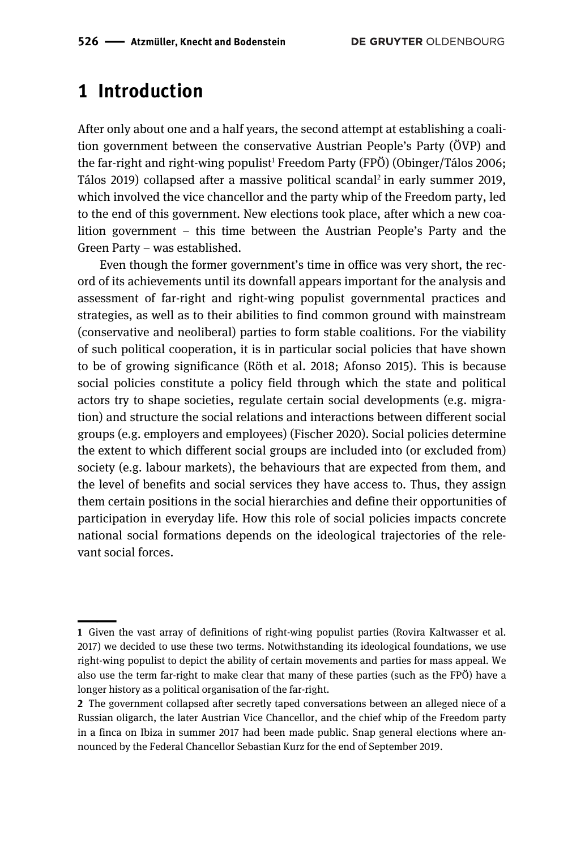## **1 Introduction**

After only about one and a half years, the second attempt at establishing a coalition government between the conservative Austrian People's Party (ÖVP) and the far-right and right-wing populist<sup>1</sup> Freedom Party (FPÖ) (Obinger/Tálos 2006; Tálos 2019) collapsed after a massive political scandal2 in early summer 2019, which involved the vice chancellor and the party whip of the Freedom party, led to the end of this government. New elections took place, after which a new coalition government – this time between the Austrian People's Party and the Green Party – was established.

Even though the former government's time in office was very short, the record of its achievements until its downfall appears important for the analysis and assessment of far-right and right-wing populist governmental practices and strategies, as well as to their abilities to find common ground with mainstream (conservative and neoliberal) parties to form stable coalitions. For the viability of such political cooperation, it is in particular social policies that have shown to be of growing significance (Röth et al. 2018; Afonso 2015). This is because social policies constitute a policy field through which the state and political actors try to shape societies, regulate certain social developments (e.g. migration) and structure the social relations and interactions between different social groups (e.g. employers and employees) (Fischer 2020). Social policies determine the extent to which different social groups are included into (or excluded from) society (e.g. labour markets), the behaviours that are expected from them, and the level of benefits and social services they have access to. Thus, they assign them certain positions in the social hierarchies and define their opportunities of participation in everyday life. How this role of social policies impacts concrete national social formations depends on the ideological trajectories of the relevant social forces.

<sup>||</sup>**1** Given the vast array of definitions of right-wing populist parties (Rovira Kaltwasser et al. 2017) we decided to use these two terms. Notwithstanding its ideological foundations, we use right-wing populist to depict the ability of certain movements and parties for mass appeal. We also use the term far-right to make clear that many of these parties (such as the FPÖ) have a longer history as a political organisation of the far-right.

**<sup>2</sup>** The government collapsed after secretly taped conversations between an alleged niece of a Russian oligarch, the later Austrian Vice Chancellor, and the chief whip of the Freedom party in a finca on Ibiza in summer 2017 had been made public. Snap general elections where announced by the Federal Chancellor Sebastian Kurz for the end of September 2019.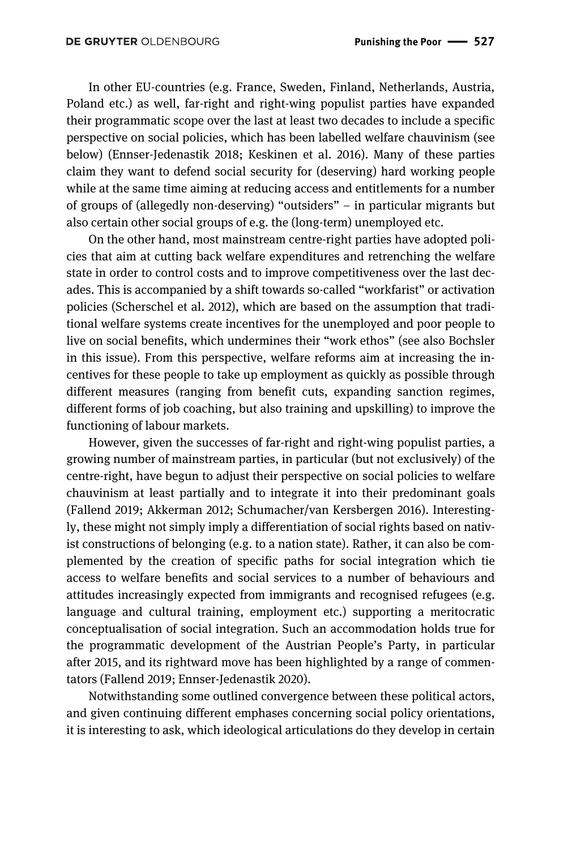In other EU-countries (e.g. France, Sweden, Finland, Netherlands, Austria, Poland etc.) as well, far-right and right-wing populist parties have expanded their programmatic scope over the last at least two decades to include a specific perspective on social policies, which has been labelled welfare chauvinism (see below) (Ennser-Jedenastik 2018; Keskinen et al. 2016). Many of these parties claim they want to defend social security for (deserving) hard working people while at the same time aiming at reducing access and entitlements for a number of groups of (allegedly non-deserving) "outsiders" – in particular migrants but also certain other social groups of e.g. the (long-term) unemployed etc.

On the other hand, most mainstream centre-right parties have adopted policies that aim at cutting back welfare expenditures and retrenching the welfare state in order to control costs and to improve competitiveness over the last decades. This is accompanied by a shift towards so-called "workfarist" or activation policies (Scherschel et al. 2012), which are based on the assumption that traditional welfare systems create incentives for the unemployed and poor people to live on social benefits, which undermines their "work ethos" (see also Bochsler in this issue). From this perspective, welfare reforms aim at increasing the incentives for these people to take up employment as quickly as possible through different measures (ranging from benefit cuts, expanding sanction regimes, different forms of job coaching, but also training and upskilling) to improve the functioning of labour markets.

However, given the successes of far-right and right-wing populist parties, a growing number of mainstream parties, in particular (but not exclusively) of the centre-right, have begun to adjust their perspective on social policies to welfare chauvinism at least partially and to integrate it into their predominant goals (Fallend 2019; Akkerman 2012; Schumacher/van Kersbergen 2016). Interestingly, these might not simply imply a differentiation of social rights based on nativist constructions of belonging (e.g. to a nation state). Rather, it can also be complemented by the creation of specific paths for social integration which tie access to welfare benefits and social services to a number of behaviours and attitudes increasingly expected from immigrants and recognised refugees (e.g. language and cultural training, employment etc.) supporting a meritocratic conceptualisation of social integration. Such an accommodation holds true for the programmatic development of the Austrian People's Party, in particular after 2015, and its rightward move has been highlighted by a range of commentators (Fallend 2019; Ennser-Jedenastik 2020).

Notwithstanding some outlined convergence between these political actors, and given continuing different emphases concerning social policy orientations, it is interesting to ask, which ideological articulations do they develop in certain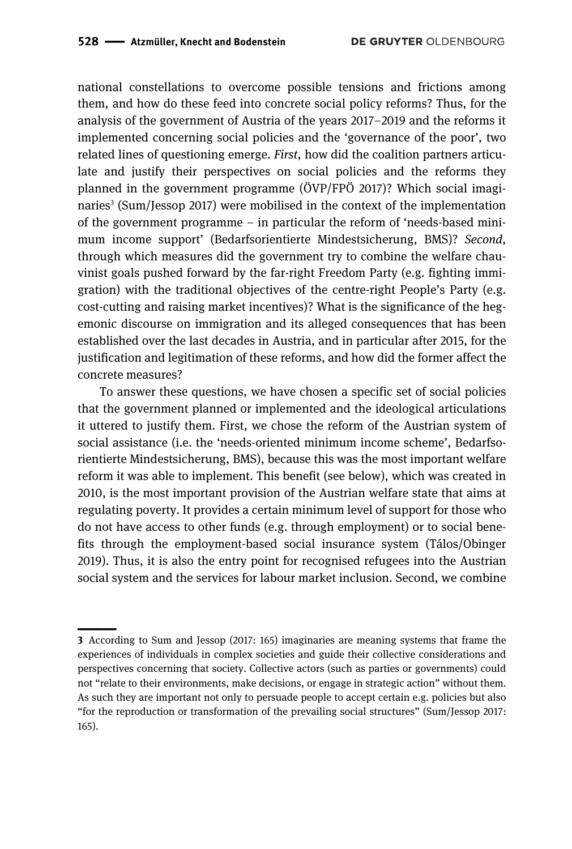national constellations to overcome possible tensions and frictions among them, and how do these feed into concrete social policy reforms? Thus, for the analysis of the government of Austria of the years 2017–2019 and the reforms it implemented concerning social policies and the 'governance of the poor', two related lines of questioning emerge. *First*, how did the coalition partners articulate and justify their perspectives on social policies and the reforms they planned in the government programme (ÖVP/FPÖ 2017)? Which social imaginaries<sup>3</sup> (Sum/Jessop 2017) were mobilised in the context of the implementation of the government programme – in particular the reform of 'needs-based minimum income support' (Bedarfsorientierte Mindestsicherung, BMS)? *Second*, through which measures did the government try to combine the welfare chauvinist goals pushed forward by the far-right Freedom Party (e.g. fighting immigration) with the traditional objectives of the centre-right People's Party (e.g. cost-cutting and raising market incentives)? What is the significance of the hegemonic discourse on immigration and its alleged consequences that has been established over the last decades in Austria, and in particular after 2015, for the justification and legitimation of these reforms, and how did the former affect the concrete measures?

To answer these questions, we have chosen a specific set of social policies that the government planned or implemented and the ideological articulations it uttered to justify them. First, we chose the reform of the Austrian system of social assistance (i.e. the 'needs-oriented minimum income scheme', Bedarfsorientierte Mindestsicherung, BMS), because this was the most important welfare reform it was able to implement. This benefit (see below), which was created in 2010, is the most important provision of the Austrian welfare state that aims at regulating poverty. It provides a certain minimum level of support for those who do not have access to other funds (e.g. through employment) or to social benefits through the employment-based social insurance system (Tálos/Obinger 2019). Thus, it is also the entry point for recognised refugees into the Austrian social system and the services for labour market inclusion. Second, we combine

<sup>————&</sup>lt;br>|<br>| **3** According to Sum and Jessop (2017: 165) imaginaries are meaning systems that frame the experiences of individuals in complex societies and guide their collective considerations and perspectives concerning that society. Collective actors (such as parties or governments) could not "relate to their environments, make decisions, or engage in strategic action" without them. As such they are important not only to persuade people to accept certain e.g. policies but also "for the reproduction or transformation of the prevailing social structures" (Sum/Jessop 2017: 165).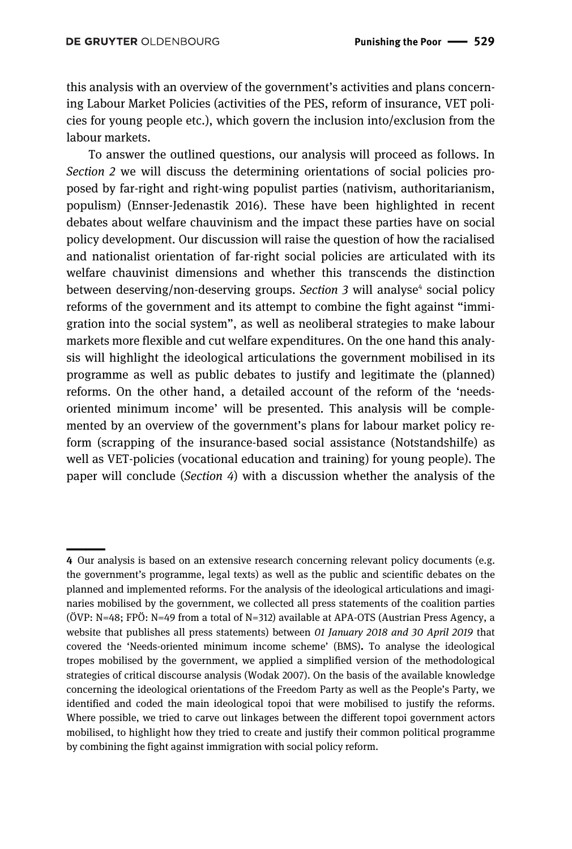this analysis with an overview of the government's activities and plans concerning Labour Market Policies (activities of the PES, reform of insurance, VET policies for young people etc.), which govern the inclusion into/exclusion from the labour markets.

To answer the outlined questions, our analysis will proceed as follows. In *Section 2* we will discuss the determining orientations of social policies proposed by far-right and right-wing populist parties (nativism, authoritarianism, populism) (Ennser-Jedenastik 2016). These have been highlighted in recent debates about welfare chauvinism and the impact these parties have on social policy development. Our discussion will raise the question of how the racialised and nationalist orientation of far-right social policies are articulated with its welfare chauvinist dimensions and whether this transcends the distinction between deserving/non-deserving groups. *Section 3* will analyse<sup>4</sup> social policy reforms of the government and its attempt to combine the fight against "immigration into the social system", as well as neoliberal strategies to make labour markets more flexible and cut welfare expenditures. On the one hand this analysis will highlight the ideological articulations the government mobilised in its programme as well as public debates to justify and legitimate the (planned) reforms. On the other hand, a detailed account of the reform of the 'needsoriented minimum income' will be presented. This analysis will be complemented by an overview of the government's plans for labour market policy reform (scrapping of the insurance-based social assistance (Notstandshilfe) as well as VET-policies (vocational education and training) for young people). The paper will conclude (*Section 4*) with a discussion whether the analysis of the

<sup>||</sup>**4** Our analysis is based on an extensive research concerning relevant policy documents (e.g. the government's programme, legal texts) as well as the public and scientific debates on the planned and implemented reforms. For the analysis of the ideological articulations and imaginaries mobilised by the government, we collected all press statements of the coalition parties (ÖVP: N=48; FPÖ: N=49 from a total of N=312) available at APA-OTS (Austrian Press Agency, a website that publishes all press statements) between *01 January 2018 and 30 April 2019* that covered the 'Needs-oriented minimum income scheme' (BMS)**.** To analyse the ideological tropes mobilised by the government, we applied a simplified version of the methodological strategies of critical discourse analysis (Wodak 2007). On the basis of the available knowledge concerning the ideological orientations of the Freedom Party as well as the People's Party, we identified and coded the main ideological topoi that were mobilised to justify the reforms. Where possible, we tried to carve out linkages between the different topoi government actors mobilised, to highlight how they tried to create and justify their common political programme by combining the fight against immigration with social policy reform.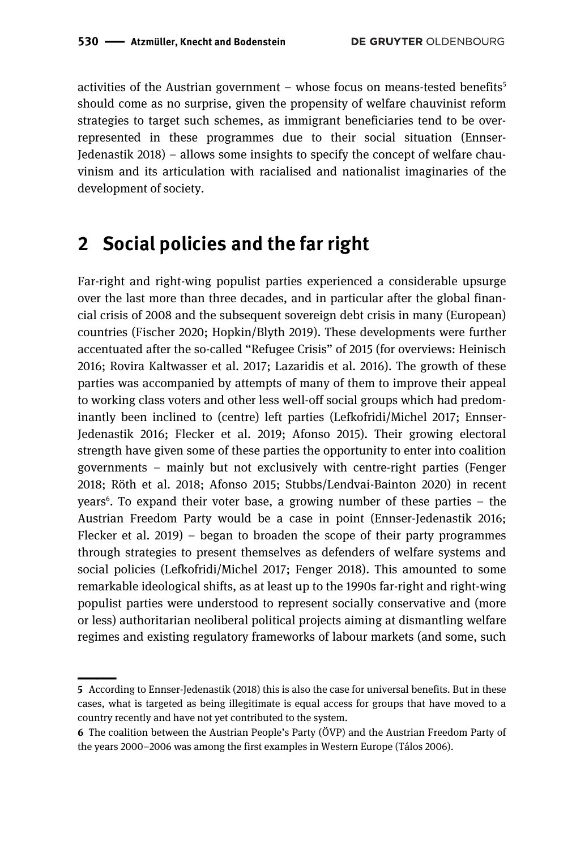activities of the Austrian government – whose focus on means-tested benefits<sup>5</sup> should come as no surprise, given the propensity of welfare chauvinist reform strategies to target such schemes, as immigrant beneficiaries tend to be overrepresented in these programmes due to their social situation (Ennser-Jedenastik 2018) – allows some insights to specify the concept of welfare chauvinism and its articulation with racialised and nationalist imaginaries of the development of society.

## **2 Social policies and the far right**

Far-right and right-wing populist parties experienced a considerable upsurge over the last more than three decades, and in particular after the global financial crisis of 2008 and the subsequent sovereign debt crisis in many (European) countries (Fischer 2020; Hopkin/Blyth 2019). These developments were further accentuated after the so-called "Refugee Crisis" of 2015 (for overviews: Heinisch 2016; Rovira Kaltwasser et al*.* 2017; Lazaridis et al. 2016). The growth of these parties was accompanied by attempts of many of them to improve their appeal to working class voters and other less well-off social groups which had predominantly been inclined to (centre) left parties (Lefkofridi/Michel 2017; Ennser-Jedenastik 2016; Flecker et al. 2019; Afonso 2015). Their growing electoral strength have given some of these parties the opportunity to enter into coalition governments – mainly but not exclusively with centre-right parties (Fenger 2018; Röth et al. 2018; Afonso 2015; Stubbs/Lendvai‐Bainton 2020) in recent years<sup>6</sup>. To expand their voter base, a growing number of these parties – the Austrian Freedom Party would be a case in point (Ennser-Jedenastik 2016; Flecker et al. 2019) – began to broaden the scope of their party programmes through strategies to present themselves as defenders of welfare systems and social policies (Lefkofridi/Michel 2017; Fenger 2018). This amounted to some remarkable ideological shifts, as at least up to the 1990s far-right and right-wing populist parties were understood to represent socially conservative and (more or less) authoritarian neoliberal political projects aiming at dismantling welfare regimes and existing regulatory frameworks of labour markets (and some, such

<sup>————&</sup>lt;br>|<br>| **5** According to Ennser-Jedenastik (2018) this is also the case for universal benefits. But in these cases, what is targeted as being illegitimate is equal access for groups that have moved to a country recently and have not yet contributed to the system.

**<sup>6</sup>** The coalition between the Austrian People's Party (ÖVP) and the Austrian Freedom Party of the years 2000–2006 was among the first examples in Western Europe (Tálos 2006).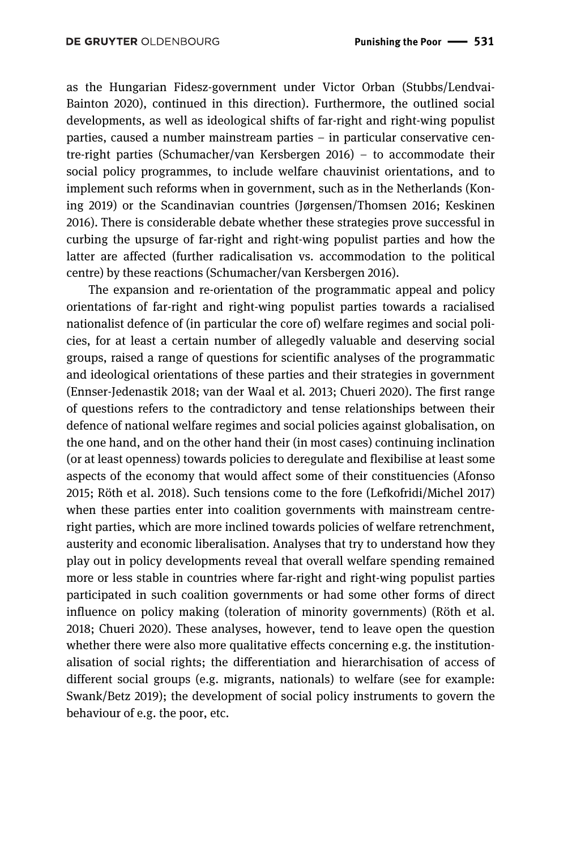as the Hungarian Fidesz-government under Victor Orban (Stubbs/Lendvai‐ Bainton 2020), continued in this direction). Furthermore, the outlined social developments, as well as ideological shifts of far-right and right-wing populist parties, caused a number mainstream parties – in particular conservative centre-right parties (Schumacher/van Kersbergen 2016) – to accommodate their social policy programmes, to include welfare chauvinist orientations, and to implement such reforms when in government, such as in the Netherlands (Koning 2019) or the Scandinavian countries (Jørgensen/Thomsen 2016; Keskinen 2016). There is considerable debate whether these strategies prove successful in curbing the upsurge of far-right and right-wing populist parties and how the latter are affected (further radicalisation vs. accommodation to the political centre) by these reactions (Schumacher/van Kersbergen 2016).

The expansion and re-orientation of the programmatic appeal and policy orientations of far-right and right-wing populist parties towards a racialised nationalist defence of (in particular the core of) welfare regimes and social policies, for at least a certain number of allegedly valuable and deserving social groups, raised a range of questions for scientific analyses of the programmatic and ideological orientations of these parties and their strategies in government (Ennser-Jedenastik 2018; van der Waal et al*.* 2013; Chueri 2020). The first range of questions refers to the contradictory and tense relationships between their defence of national welfare regimes and social policies against globalisation, on the one hand, and on the other hand their (in most cases) continuing inclination (or at least openness) towards policies to deregulate and flexibilise at least some aspects of the economy that would affect some of their constituencies (Afonso 2015; Röth et al. 2018). Such tensions come to the fore (Lefkofridi/Michel 2017) when these parties enter into coalition governments with mainstream centreright parties, which are more inclined towards policies of welfare retrenchment, austerity and economic liberalisation. Analyses that try to understand how they play out in policy developments reveal that overall welfare spending remained more or less stable in countries where far-right and right-wing populist parties participated in such coalition governments or had some other forms of direct influence on policy making (toleration of minority governments) (Röth et al. 2018; Chueri 2020). These analyses, however, tend to leave open the question whether there were also more qualitative effects concerning e.g. the institutionalisation of social rights; the differentiation and hierarchisation of access of different social groups (e.g. migrants, nationals) to welfare (see for example: Swank/Betz 2019); the development of social policy instruments to govern the behaviour of e.g. the poor, etc.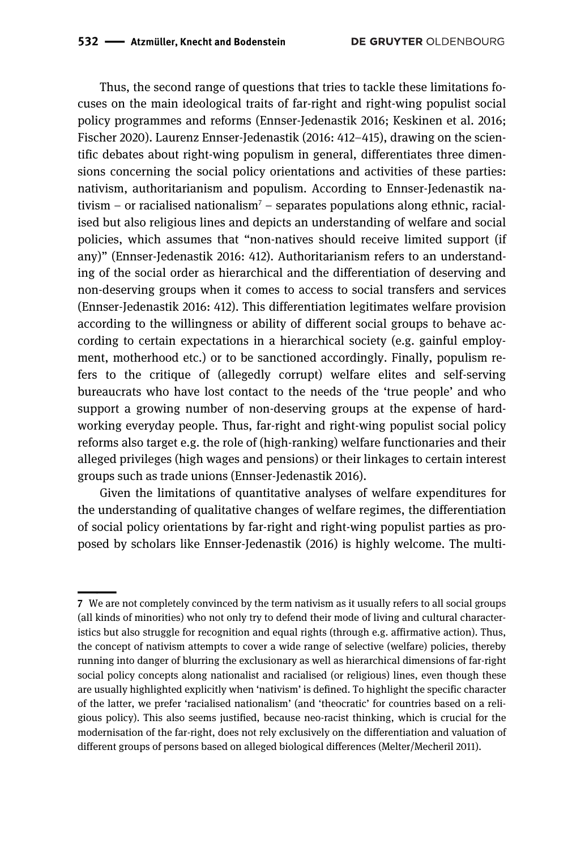Thus, the second range of questions that tries to tackle these limitations focuses on the main ideological traits of far-right and right-wing populist social policy programmes and reforms (Ennser-Jedenastik 2016; Keskinen et al. 2016; Fischer 2020). Laurenz Ennser-Jedenastik (2016: 412–415), drawing on the scientific debates about right-wing populism in general, differentiates three dimensions concerning the social policy orientations and activities of these parties: nativism, authoritarianism and populism. According to Ennser-Jedenastik nativism – or racialised nationalism<sup>7</sup> – separates populations along ethnic, racialised but also religious lines and depicts an understanding of welfare and social policies, which assumes that "non-natives should receive limited support (if any)" (Ennser-Jedenastik 2016: 412). Authoritarianism refers to an understanding of the social order as hierarchical and the differentiation of deserving and non-deserving groups when it comes to access to social transfers and services (Ennser-Jedenastik 2016: 412). This differentiation legitimates welfare provision according to the willingness or ability of different social groups to behave according to certain expectations in a hierarchical society (e.g. gainful employment, motherhood etc.) or to be sanctioned accordingly. Finally, populism refers to the critique of (allegedly corrupt) welfare elites and self-serving bureaucrats who have lost contact to the needs of the 'true people' and who support a growing number of non-deserving groups at the expense of hardworking everyday people. Thus, far-right and right-wing populist social policy reforms also target e.g. the role of (high-ranking) welfare functionaries and their alleged privileges (high wages and pensions) or their linkages to certain interest groups such as trade unions (Ennser-Jedenastik 2016).

Given the limitations of quantitative analyses of welfare expenditures for the understanding of qualitative changes of welfare regimes, the differentiation of social policy orientations by far-right and right-wing populist parties as proposed by scholars like Ennser-Jedenastik (2016) is highly welcome. The multi-

<sup>————&</sup>lt;br>|<br>| **7** We are not completely convinced by the term nativism as it usually refers to all social groups (all kinds of minorities) who not only try to defend their mode of living and cultural characteristics but also struggle for recognition and equal rights (through e.g. affirmative action). Thus, the concept of nativism attempts to cover a wide range of selective (welfare) policies, thereby running into danger of blurring the exclusionary as well as hierarchical dimensions of far-right social policy concepts along nationalist and racialised (or religious) lines, even though these are usually highlighted explicitly when 'nativism' is defined. To highlight the specific character of the latter, we prefer 'racialised nationalism' (and 'theocratic' for countries based on a religious policy). This also seems justified, because neo-racist thinking, which is crucial for the modernisation of the far-right, does not rely exclusively on the differentiation and valuation of different groups of persons based on alleged biological differences (Melter/Mecheril 2011).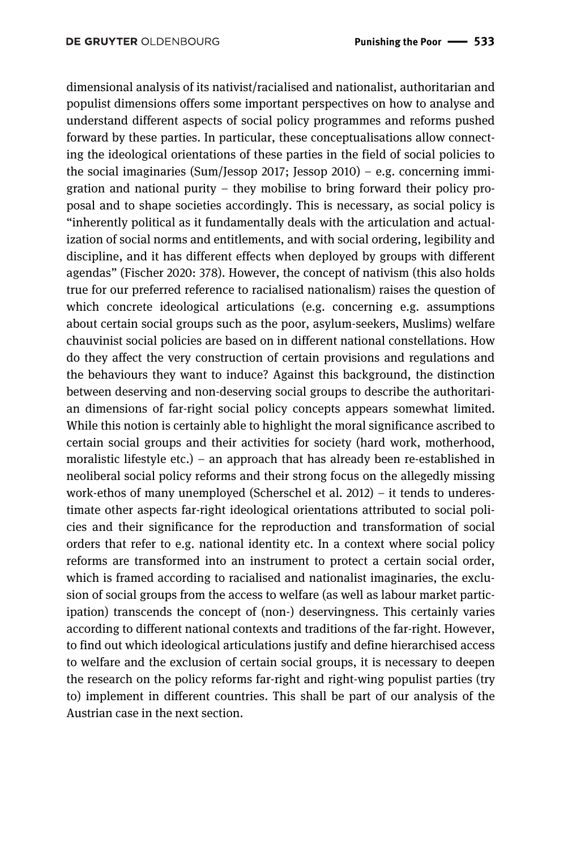dimensional analysis of its nativist/racialised and nationalist, authoritarian and populist dimensions offers some important perspectives on how to analyse and understand different aspects of social policy programmes and reforms pushed forward by these parties. In particular, these conceptualisations allow connecting the ideological orientations of these parties in the field of social policies to the social imaginaries (Sum/Jessop 2017; Jessop 2010) – e.g. concerning immigration and national purity – they mobilise to bring forward their policy proposal and to shape societies accordingly. This is necessary, as social policy is "inherently political as it fundamentally deals with the articulation and actualization of social norms and entitlements, and with social ordering, legibility and discipline, and it has different effects when deployed by groups with different agendas" (Fischer 2020: 378). However, the concept of nativism (this also holds true for our preferred reference to racialised nationalism) raises the question of which concrete ideological articulations (e.g. concerning e.g. assumptions about certain social groups such as the poor, asylum-seekers, Muslims) welfare chauvinist social policies are based on in different national constellations. How do they affect the very construction of certain provisions and regulations and the behaviours they want to induce? Against this background, the distinction between deserving and non-deserving social groups to describe the authoritarian dimensions of far-right social policy concepts appears somewhat limited. While this notion is certainly able to highlight the moral significance ascribed to certain social groups and their activities for society (hard work, motherhood, moralistic lifestyle etc.) – an approach that has already been re-established in neoliberal social policy reforms and their strong focus on the allegedly missing work-ethos of many unemployed (Scherschel et al. 2012) – it tends to underestimate other aspects far-right ideological orientations attributed to social policies and their significance for the reproduction and transformation of social orders that refer to e.g. national identity etc. In a context where social policy reforms are transformed into an instrument to protect a certain social order, which is framed according to racialised and nationalist imaginaries, the exclusion of social groups from the access to welfare (as well as labour market participation) transcends the concept of (non-) deservingness. This certainly varies according to different national contexts and traditions of the far-right. However, to find out which ideological articulations justify and define hierarchised access to welfare and the exclusion of certain social groups, it is necessary to deepen the research on the policy reforms far-right and right-wing populist parties (try to) implement in different countries. This shall be part of our analysis of the Austrian case in the next section.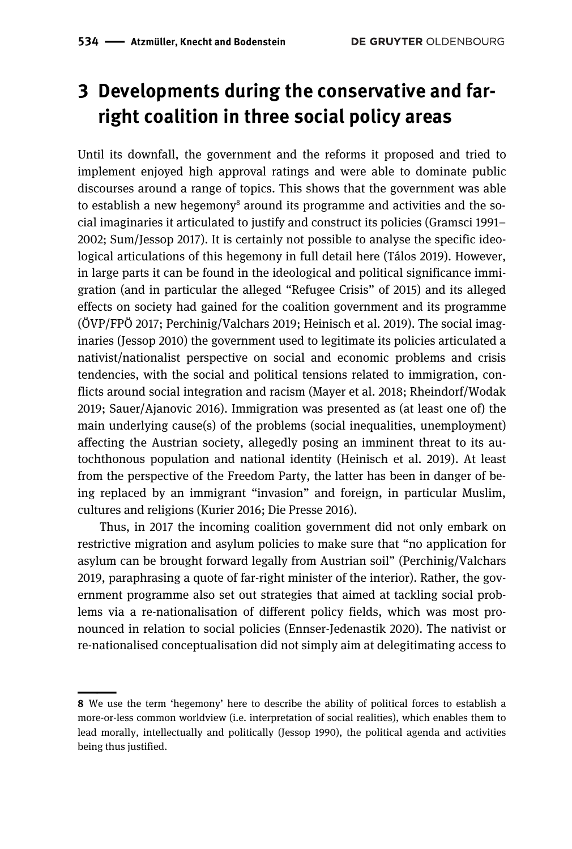# **3 Developments during the conservative and farright coalition in three social policy areas**

Until its downfall, the government and the reforms it proposed and tried to implement enjoyed high approval ratings and were able to dominate public discourses around a range of topics. This shows that the government was able to establish a new hegemony<sup>8</sup> around its programme and activities and the social imaginaries it articulated to justify and construct its policies (Gramsci 1991– 2002; Sum/Jessop 2017). It is certainly not possible to analyse the specific ideological articulations of this hegemony in full detail here (Tálos 2019). However, in large parts it can be found in the ideological and political significance immigration (and in particular the alleged "Refugee Crisis" of 2015) and its alleged effects on society had gained for the coalition government and its programme (ÖVP/FPÖ 2017; Perchinig/Valchars 2019; Heinisch et al*.* 2019). The social imaginaries (Jessop 2010) the government used to legitimate its policies articulated a nativist/nationalist perspective on social and economic problems and crisis tendencies, with the social and political tensions related to immigration, conflicts around social integration and racism (Mayer et al. 2018; Rheindorf/Wodak 2019; Sauer/Ajanovic 2016). Immigration was presented as (at least one of) the main underlying cause(s) of the problems (social inequalities, unemployment) affecting the Austrian society, allegedly posing an imminent threat to its autochthonous population and national identity (Heinisch et al. 2019). At least from the perspective of the Freedom Party, the latter has been in danger of being replaced by an immigrant "invasion" and foreign, in particular Muslim, cultures and religions (Kurier 2016; Die Presse 2016).

Thus, in 2017 the incoming coalition government did not only embark on restrictive migration and asylum policies to make sure that "no application for asylum can be brought forward legally from Austrian soil" (Perchinig/Valchars 2019, paraphrasing a quote of far-right minister of the interior). Rather, the government programme also set out strategies that aimed at tackling social problems via a re-nationalisation of different policy fields, which was most pronounced in relation to social policies (Ennser-Jedenastik 2020). The nativist or re-nationalised conceptualisation did not simply aim at delegitimating access to

<sup>||</sup>**8** We use the term 'hegemony' here to describe the ability of political forces to establish a more-or-less common worldview (i.e. interpretation of social realities), which enables them to lead morally, intellectually and politically (Jessop 1990), the political agenda and activities being thus justified.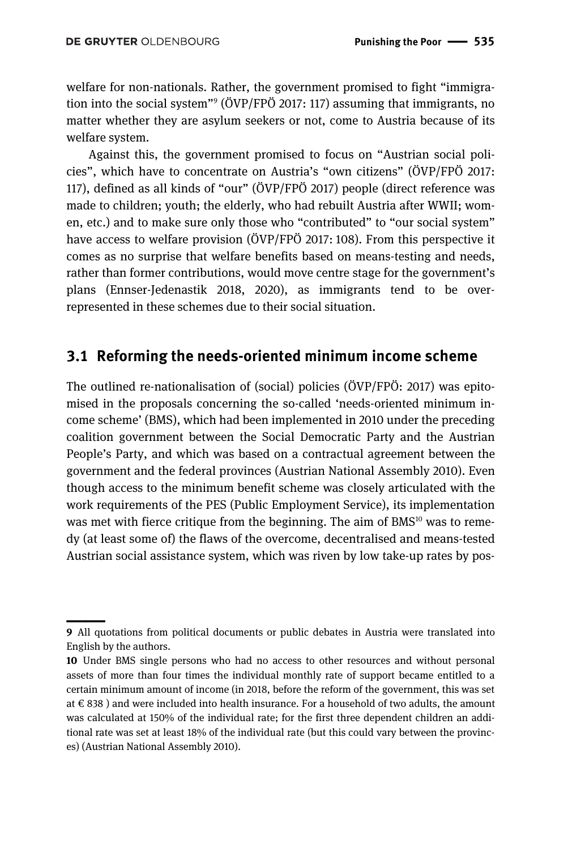welfare for non-nationals. Rather, the government promised to fight "immigration into the social system"9 (ÖVP/FPÖ 2017: 117) assuming that immigrants, no matter whether they are asylum seekers or not, come to Austria because of its welfare system.

Against this, the government promised to focus on "Austrian social policies", which have to concentrate on Austria's "own citizens" (ÖVP/FPÖ 2017: 117), defined as all kinds of "our" (ÖVP/FPÖ 2017) people (direct reference was made to children; youth; the elderly, who had rebuilt Austria after WWII; women, etc.) and to make sure only those who "contributed" to "our social system" have access to welfare provision (ÖVP/FPÖ 2017: 108). From this perspective it comes as no surprise that welfare benefits based on means-testing and needs, rather than former contributions, would move centre stage for the government's plans (Ennser-Jedenastik 2018, 2020), as immigrants tend to be overrepresented in these schemes due to their social situation.

### **3.1 Reforming the needs-oriented minimum income scheme**

The outlined re-nationalisation of (social) policies (ÖVP/FPÖ: 2017) was epitomised in the proposals concerning the so-called 'needs-oriented minimum income scheme' (BMS), which had been implemented in 2010 under the preceding coalition government between the Social Democratic Party and the Austrian People's Party, and which was based on a contractual agreement between the government and the federal provinces (Austrian National Assembly 2010). Even though access to the minimum benefit scheme was closely articulated with the work requirements of the PES (Public Employment Service), its implementation was met with fierce critique from the beginning. The aim of  $BMS<sup>10</sup>$  was to remedy (at least some of) the flaws of the overcome, decentralised and means-tested Austrian social assistance system, which was riven by low take-up rates by pos-

<sup>||</sup>**9** All quotations from political documents or public debates in Austria were translated into English by the authors.

**<sup>10</sup>** Under BMS single persons who had no access to other resources and without personal assets of more than four times the individual monthly rate of support became entitled to a certain minimum amount of income (in 2018, before the reform of the government, this was set at € 838 ) and were included into health insurance. For a household of two adults, the amount was calculated at 150% of the individual rate; for the first three dependent children an additional rate was set at least 18% of the individual rate (but this could vary between the provinces) (Austrian National Assembly 2010).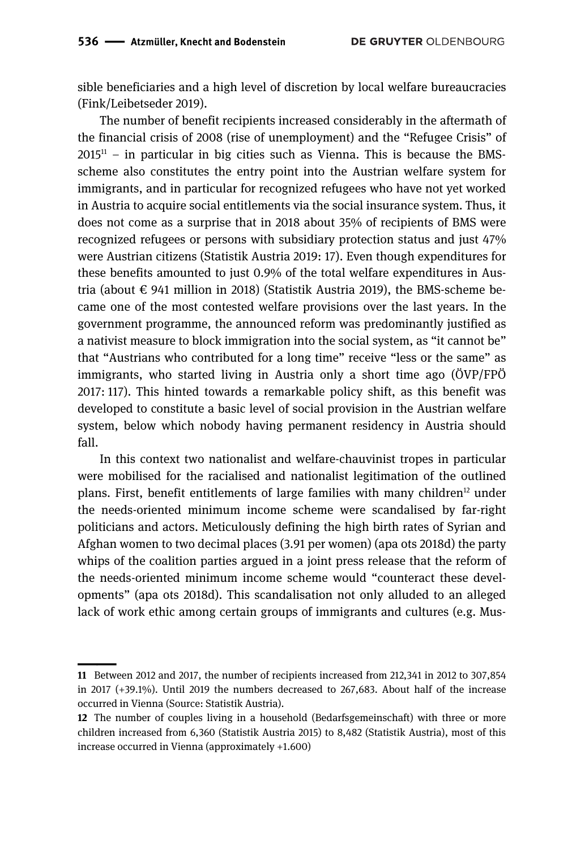sible beneficiaries and a high level of discretion by local welfare bureaucracies (Fink/Leibetseder 2019).

The number of benefit recipients increased considerably in the aftermath of the financial crisis of 2008 (rise of unemployment) and the "Refugee Crisis" of  $2015<sup>11</sup>$  – in particular in big cities such as Vienna. This is because the BMSscheme also constitutes the entry point into the Austrian welfare system for immigrants, and in particular for recognized refugees who have not yet worked in Austria to acquire social entitlements via the social insurance system. Thus, it does not come as a surprise that in 2018 about 35% of recipients of BMS were recognized refugees or persons with subsidiary protection status and just 47% were Austrian citizens (Statistik Austria 2019: 17). Even though expenditures for these benefits amounted to just 0.9% of the total welfare expenditures in Austria (about  $\epsilon$  941 million in 2018) (Statistik Austria 2019), the BMS-scheme became one of the most contested welfare provisions over the last years. In the government programme, the announced reform was predominantly justified as a nativist measure to block immigration into the social system, as "it cannot be" that "Austrians who contributed for a long time" receive "less or the same" as immigrants, who started living in Austria only a short time ago (ÖVP/FPÖ 2017: 117). This hinted towards a remarkable policy shift, as this benefit was developed to constitute a basic level of social provision in the Austrian welfare system, below which nobody having permanent residency in Austria should fall.

In this context two nationalist and welfare-chauvinist tropes in particular were mobilised for the racialised and nationalist legitimation of the outlined plans. First, benefit entitlements of large families with many children<sup>12</sup> under the needs-oriented minimum income scheme were scandalised by far-right politicians and actors. Meticulously defining the high birth rates of Syrian and Afghan women to two decimal places (3.91 per women) (apa ots 2018d) the party whips of the coalition parties argued in a joint press release that the reform of the needs-oriented minimum income scheme would "counteract these developments" (apa ots 2018d). This scandalisation not only alluded to an alleged lack of work ethic among certain groups of immigrants and cultures (e.g. Mus-

<sup>||</sup>**11** Between 2012 and 2017, the number of recipients increased from 212,341 in 2012 to 307,854 in 2017 (+39.1%). Until 2019 the numbers decreased to 267,683. About half of the increase occurred in Vienna (Source: Statistik Austria).

**<sup>12</sup>** The number of couples living in a household (Bedarfsgemeinschaft) with three or more children increased from 6,360 (Statistik Austria 2015) to 8,482 (Statistik Austria), most of this increase occurred in Vienna (approximately +1.600)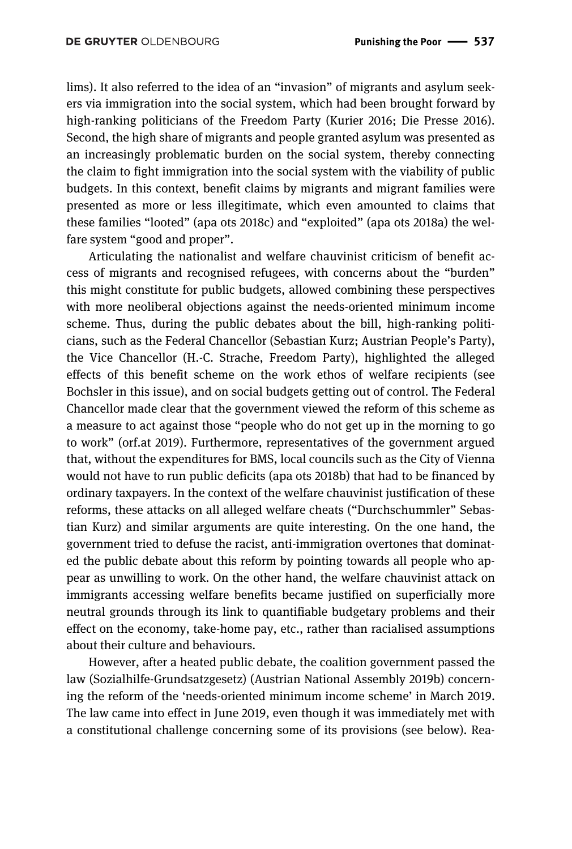lims). It also referred to the idea of an "invasion" of migrants and asylum seekers via immigration into the social system, which had been brought forward by high-ranking politicians of the Freedom Party (Kurier 2016; Die Presse 2016). Second, the high share of migrants and people granted asylum was presented as an increasingly problematic burden on the social system, thereby connecting the claim to fight immigration into the social system with the viability of public budgets. In this context, benefit claims by migrants and migrant families were presented as more or less illegitimate, which even amounted to claims that these families "looted" (apa ots 2018c) and "exploited" (apa ots 2018a) the welfare system "good and proper".

Articulating the nationalist and welfare chauvinist criticism of benefit access of migrants and recognised refugees, with concerns about the "burden" this might constitute for public budgets, allowed combining these perspectives with more neoliberal objections against the needs-oriented minimum income scheme. Thus, during the public debates about the bill, high-ranking politicians, such as the Federal Chancellor (Sebastian Kurz; Austrian People's Party), the Vice Chancellor (H.-C. Strache, Freedom Party), highlighted the alleged effects of this benefit scheme on the work ethos of welfare recipients (see Bochsler in this issue), and on social budgets getting out of control. The Federal Chancellor made clear that the government viewed the reform of this scheme as a measure to act against those "people who do not get up in the morning to go to work" (orf.at 2019). Furthermore, representatives of the government argued that, without the expenditures for BMS, local councils such as the City of Vienna would not have to run public deficits (apa ots 2018b) that had to be financed by ordinary taxpayers. In the context of the welfare chauvinist justification of these reforms, these attacks on all alleged welfare cheats ("Durchschummler" Sebastian Kurz) and similar arguments are quite interesting. On the one hand, the government tried to defuse the racist, anti-immigration overtones that dominated the public debate about this reform by pointing towards all people who appear as unwilling to work. On the other hand, the welfare chauvinist attack on immigrants accessing welfare benefits became justified on superficially more neutral grounds through its link to quantifiable budgetary problems and their effect on the economy, take-home pay, etc., rather than racialised assumptions about their culture and behaviours.

However, after a heated public debate, the coalition government passed the law (Sozialhilfe-Grundsatzgesetz) (Austrian National Assembly 2019b) concerning the reform of the 'needs-oriented minimum income scheme' in March 2019. The law came into effect in June 2019, even though it was immediately met with a constitutional challenge concerning some of its provisions (see below). Rea-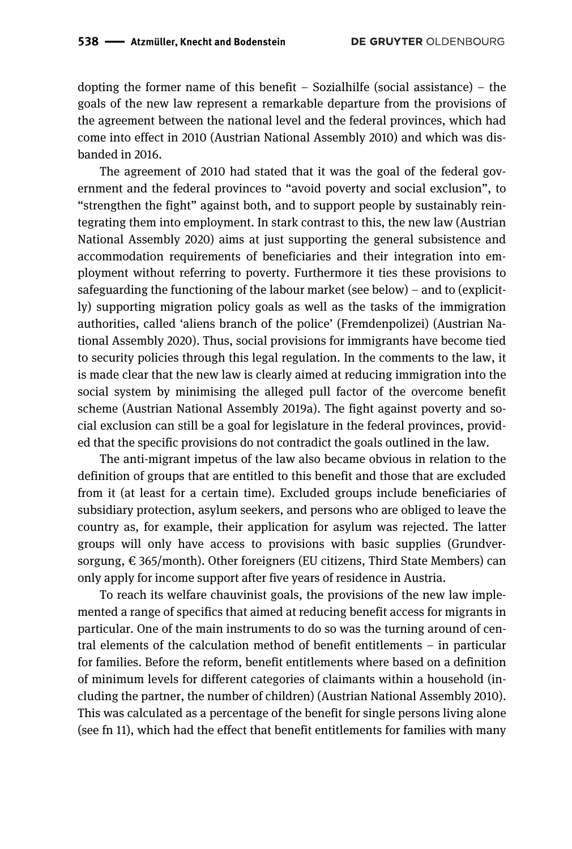dopting the former name of this benefit – Sozialhilfe (social assistance) – the goals of the new law represent a remarkable departure from the provisions of the agreement between the national level and the federal provinces, which had come into effect in 2010 (Austrian National Assembly 2010) and which was disbanded in 2016.

The agreement of 2010 had stated that it was the goal of the federal government and the federal provinces to "avoid poverty and social exclusion", to "strengthen the fight" against both, and to support people by sustainably reintegrating them into employment. In stark contrast to this, the new law (Austrian National Assembly 2020) aims at just supporting the general subsistence and accommodation requirements of beneficiaries and their integration into employment without referring to poverty. Furthermore it ties these provisions to safeguarding the functioning of the labour market (see below) – and to (explicitly) supporting migration policy goals as well as the tasks of the immigration authorities, called 'aliens branch of the police' (Fremdenpolizei) (Austrian National Assembly 2020). Thus, social provisions for immigrants have become tied to security policies through this legal regulation. In the comments to the law, it is made clear that the new law is clearly aimed at reducing immigration into the social system by minimising the alleged pull factor of the overcome benefit scheme (Austrian National Assembly 2019a). The fight against poverty and social exclusion can still be a goal for legislature in the federal provinces, provided that the specific provisions do not contradict the goals outlined in the law.

The anti-migrant impetus of the law also became obvious in relation to the definition of groups that are entitled to this benefit and those that are excluded from it (at least for a certain time). Excluded groups include beneficiaries of subsidiary protection, asylum seekers, and persons who are obliged to leave the country as, for example, their application for asylum was rejected. The latter groups will only have access to provisions with basic supplies (Grundversorgung, € 365/month). Other foreigners (EU citizens, Third State Members) can only apply for income support after five years of residence in Austria.

To reach its welfare chauvinist goals, the provisions of the new law implemented a range of specifics that aimed at reducing benefit access for migrants in particular. One of the main instruments to do so was the turning around of central elements of the calculation method of benefit entitlements – in particular for families. Before the reform, benefit entitlements where based on a definition of minimum levels for different categories of claimants within a household (including the partner, the number of children) (Austrian National Assembly 2010). This was calculated as a percentage of the benefit for single persons living alone (see fn 11), which had the effect that benefit entitlements for families with many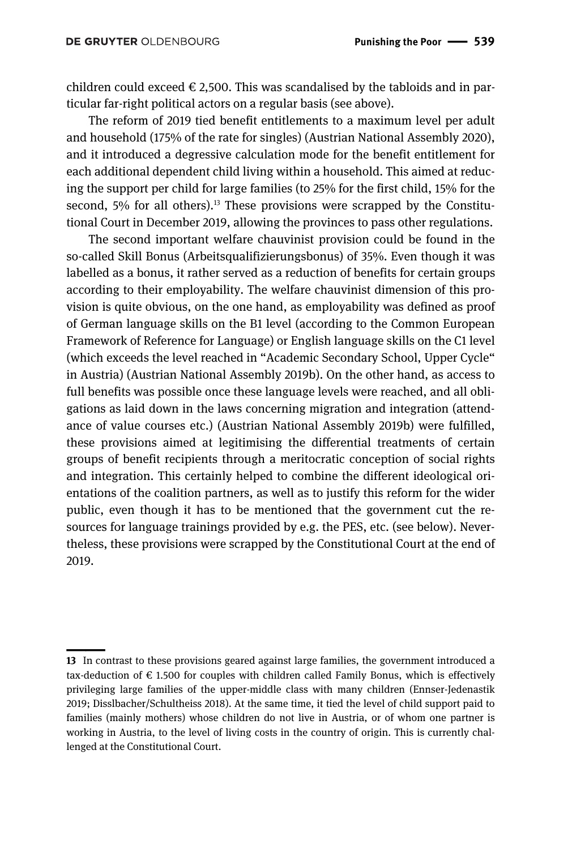children could exceed  $\epsilon$  2,500. This was scandalised by the tabloids and in particular far-right political actors on a regular basis (see above).

The reform of 2019 tied benefit entitlements to a maximum level per adult and household (175% of the rate for singles) (Austrian National Assembly 2020), and it introduced a degressive calculation mode for the benefit entitlement for each additional dependent child living within a household. This aimed at reducing the support per child for large families (to 25% for the first child, 15% for the second,  $5\%$  for all others).<sup>13</sup> These provisions were scrapped by the Constitutional Court in December 2019, allowing the provinces to pass other regulations.

The second important welfare chauvinist provision could be found in the so-called Skill Bonus (Arbeitsqualifizierungsbonus) of 35%. Even though it was labelled as a bonus, it rather served as a reduction of benefits for certain groups according to their employability. The welfare chauvinist dimension of this provision is quite obvious, on the one hand, as employability was defined as proof of German language skills on the B1 level (according to the Common European Framework of Reference for Language) or English language skills on the C1 level (which exceeds the level reached in "Academic Secondary School, Upper Cycle" in Austria) (Austrian National Assembly 2019b). On the other hand, as access to full benefits was possible once these language levels were reached, and all obligations as laid down in the laws concerning migration and integration (attendance of value courses etc.) (Austrian National Assembly 2019b) were fulfilled, these provisions aimed at legitimising the differential treatments of certain groups of benefit recipients through a meritocratic conception of social rights and integration. This certainly helped to combine the different ideological orientations of the coalition partners, as well as to justify this reform for the wider public, even though it has to be mentioned that the government cut the resources for language trainings provided by e.g. the PES, etc. (see below). Nevertheless, these provisions were scrapped by the Constitutional Court at the end of 2019.

<sup>||</sup>**13** In contrast to these provisions geared against large families, the government introduced a tax-deduction of  $\epsilon$  1.500 for couples with children called Family Bonus, which is effectively privileging large families of the upper-middle class with many children (Ennser-Jedenastik 2019; Disslbacher/Schultheiss 2018). At the same time, it tied the level of child support paid to families (mainly mothers) whose children do not live in Austria, or of whom one partner is working in Austria, to the level of living costs in the country of origin. This is currently challenged at the Constitutional Court.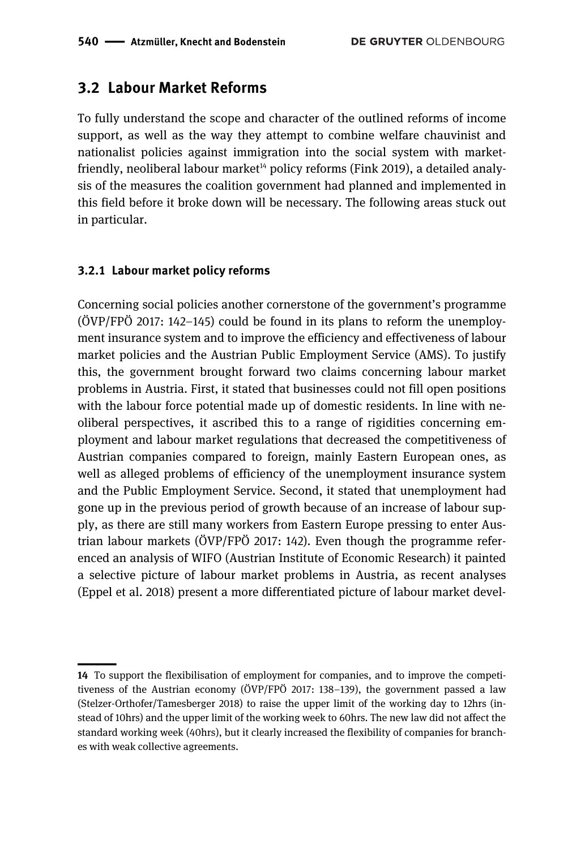### **3.2 Labour Market Reforms**

To fully understand the scope and character of the outlined reforms of income support, as well as the way they attempt to combine welfare chauvinist and nationalist policies against immigration into the social system with marketfriendly, neoliberal labour market<sup> $14$ </sup> policy reforms (Fink 2019), a detailed analysis of the measures the coalition government had planned and implemented in this field before it broke down will be necessary. The following areas stuck out in particular.

#### **3.2.1 Labour market policy reforms**

Concerning social policies another cornerstone of the government's programme (ÖVP/FPÖ 2017: 142–145) could be found in its plans to reform the unemployment insurance system and to improve the efficiency and effectiveness of labour market policies and the Austrian Public Employment Service (AMS). To justify this, the government brought forward two claims concerning labour market problems in Austria. First, it stated that businesses could not fill open positions with the labour force potential made up of domestic residents. In line with neoliberal perspectives, it ascribed this to a range of rigidities concerning employment and labour market regulations that decreased the competitiveness of Austrian companies compared to foreign, mainly Eastern European ones, as well as alleged problems of efficiency of the unemployment insurance system and the Public Employment Service. Second, it stated that unemployment had gone up in the previous period of growth because of an increase of labour supply, as there are still many workers from Eastern Europe pressing to enter Austrian labour markets (ÖVP/FPÖ 2017: 142). Even though the programme referenced an analysis of WIFO (Austrian Institute of Economic Research) it painted a selective picture of labour market problems in Austria, as recent analyses (Eppel et al. 2018) present a more differentiated picture of labour market devel-

<sup>||</sup>**14** To support the flexibilisation of employment for companies, and to improve the competitiveness of the Austrian economy (ÖVP/FPÖ 2017: 138–139), the government passed a law (Stelzer-Orthofer/Tamesberger 2018) to raise the upper limit of the working day to 12hrs (instead of 10hrs) and the upper limit of the working week to 60hrs. The new law did not affect the standard working week (40hrs), but it clearly increased the flexibility of companies for branches with weak collective agreements.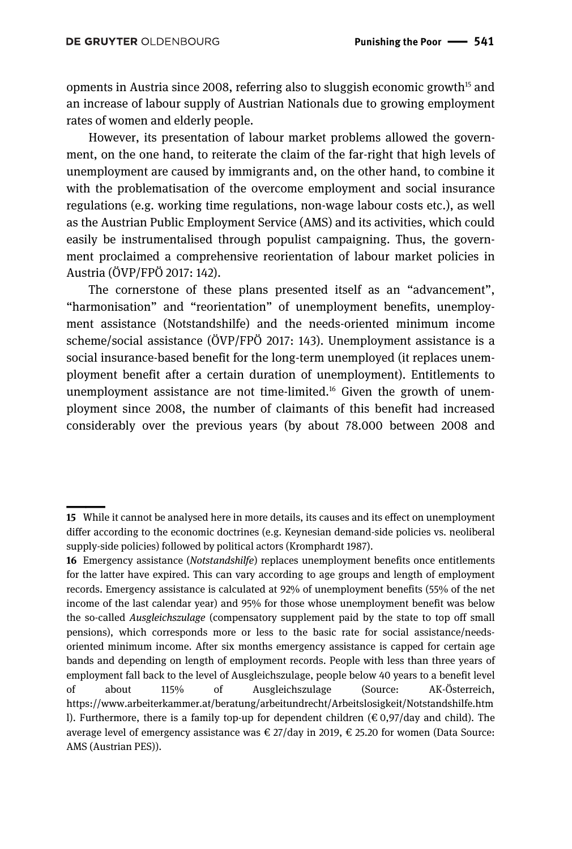opments in Austria since 2008, referring also to sluggish economic growth<sup>15</sup> and an increase of labour supply of Austrian Nationals due to growing employment rates of women and elderly people.

However, its presentation of labour market problems allowed the government, on the one hand, to reiterate the claim of the far-right that high levels of unemployment are caused by immigrants and, on the other hand, to combine it with the problematisation of the overcome employment and social insurance regulations (e.g. working time regulations, non-wage labour costs etc.), as well as the Austrian Public Employment Service (AMS) and its activities, which could easily be instrumentalised through populist campaigning. Thus, the government proclaimed a comprehensive reorientation of labour market policies in Austria (ÖVP/FPÖ 2017: 142).

The cornerstone of these plans presented itself as an "advancement", "harmonisation" and "reorientation" of unemployment benefits, unemployment assistance (Notstandshilfe) and the needs-oriented minimum income scheme/social assistance (ÖVP/FPÖ 2017: 143). Unemployment assistance is a social insurance-based benefit for the long-term unemployed (it replaces unemployment benefit after a certain duration of unemployment). Entitlements to unemployment assistance are not time-limited.<sup>16</sup> Given the growth of unemployment since 2008, the number of claimants of this benefit had increased considerably over the previous years (by about 78.000 between 2008 and

<sup>||</sup>**15** While it cannot be analysed here in more details, its causes and its effect on unemployment differ according to the economic doctrines (e.g. Keynesian demand-side policies vs. neoliberal supply-side policies) followed by political actors (Kromphardt 1987).

**<sup>16</sup>** Emergency assistance (*Notstandshilfe*) replaces unemployment benefits once entitlements for the latter have expired. This can vary according to age groups and length of employment records. Emergency assistance is calculated at 92% of unemployment benefits (55% of the net income of the last calendar year) and 95% for those whose unemployment benefit was below the so-called *Ausgleichszulage* (compensatory supplement paid by the state to top off small pensions), which corresponds more or less to the basic rate for social assistance/needsoriented minimum income. After six months emergency assistance is capped for certain age bands and depending on length of employment records. People with less than three years of employment fall back to the level of Ausgleichszulage, people below 40 years to a benefit level of about 115% of Ausgleichszulage (Source: AK-Österreich, https://www.arbeiterkammer.at/beratung/arbeitundrecht/Arbeitslosigkeit/Notstandshilfe.htm l). Furthermore, there is a family top-up for dependent children ( $\epsilon$ 0,97/day and child). The average level of emergency assistance was  $\epsilon$  27/day in 2019,  $\epsilon$  25.20 for women (Data Source: AMS (Austrian PES)).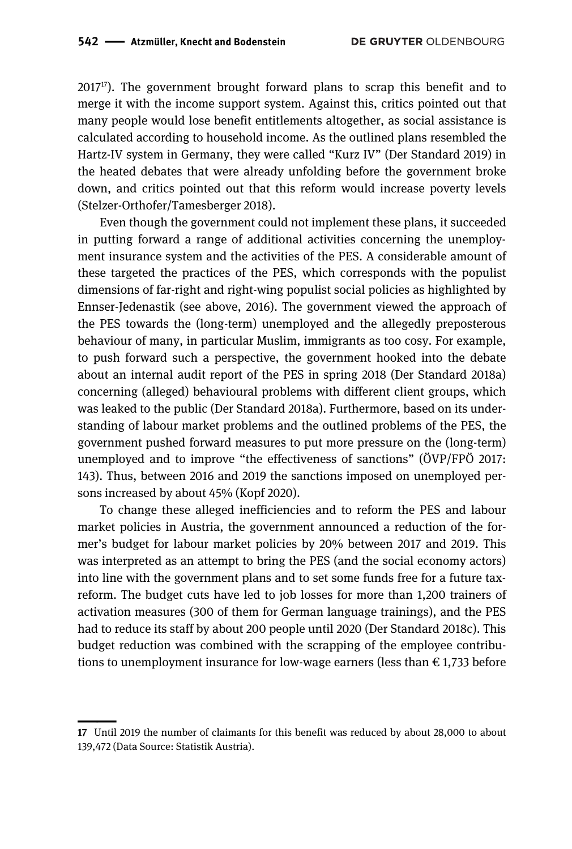$2017^{17}$ ). The government brought forward plans to scrap this benefit and to merge it with the income support system. Against this, critics pointed out that many people would lose benefit entitlements altogether, as social assistance is calculated according to household income. As the outlined plans resembled the Hartz-IV system in Germany, they were called "Kurz IV" (Der Standard 2019) in the heated debates that were already unfolding before the government broke down, and critics pointed out that this reform would increase poverty levels (Stelzer-Orthofer/Tamesberger 2018).

Even though the government could not implement these plans, it succeeded in putting forward a range of additional activities concerning the unemployment insurance system and the activities of the PES. A considerable amount of these targeted the practices of the PES, which corresponds with the populist dimensions of far-right and right-wing populist social policies as highlighted by Ennser-Jedenastik (see above, 2016). The government viewed the approach of the PES towards the (long-term) unemployed and the allegedly preposterous behaviour of many, in particular Muslim, immigrants as too cosy. For example, to push forward such a perspective, the government hooked into the debate about an internal audit report of the PES in spring 2018 (Der Standard 2018a) concerning (alleged) behavioural problems with different client groups, which was leaked to the public (Der Standard 2018a). Furthermore, based on its understanding of labour market problems and the outlined problems of the PES, the government pushed forward measures to put more pressure on the (long-term) unemployed and to improve "the effectiveness of sanctions" (ÖVP/FPÖ 2017: 143). Thus, between 2016 and 2019 the sanctions imposed on unemployed persons increased by about 45% (Kopf 2020).

To change these alleged inefficiencies and to reform the PES and labour market policies in Austria, the government announced a reduction of the former's budget for labour market policies by 20% between 2017 and 2019. This was interpreted as an attempt to bring the PES (and the social economy actors) into line with the government plans and to set some funds free for a future taxreform. The budget cuts have led to job losses for more than 1,200 trainers of activation measures (300 of them for German language trainings), and the PES had to reduce its staff by about 200 people until 2020 (Der Standard 2018c). This budget reduction was combined with the scrapping of the employee contributions to unemployment insurance for low-wage earners (less than  $\epsilon$  1,733 before

<sup>————&</sup>lt;br>|<br>| **17** Until 2019 the number of claimants for this benefit was reduced by about 28,000 to about 139,472 (Data Source: Statistik Austria).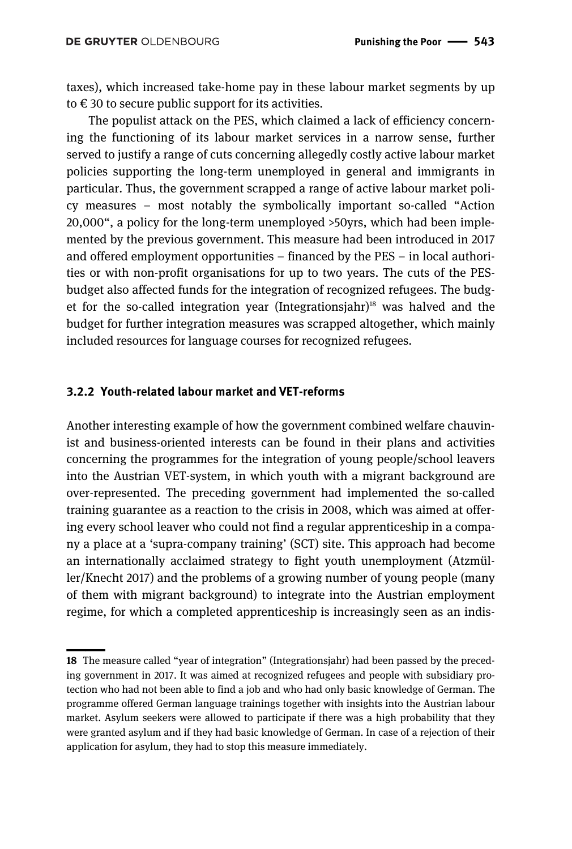taxes), which increased take-home pay in these labour market segments by up to  $\epsilon$  30 to secure public support for its activities.

The populist attack on the PES, which claimed a lack of efficiency concerning the functioning of its labour market services in a narrow sense, further served to justify a range of cuts concerning allegedly costly active labour market policies supporting the long-term unemployed in general and immigrants in particular. Thus, the government scrapped a range of active labour market policy measures – most notably the symbolically important so-called "Action 20,000", a policy for the long-term unemployed >50yrs, which had been implemented by the previous government. This measure had been introduced in 2017 and offered employment opportunities – financed by the PES – in local authorities or with non-profit organisations for up to two years. The cuts of the PESbudget also affected funds for the integration of recognized refugees. The budget for the so-called integration year (Integrationsjahr)<sup>18</sup> was halved and the budget for further integration measures was scrapped altogether, which mainly included resources for language courses for recognized refugees.

#### **3.2.2 Youth-related labour market and VET-reforms**

Another interesting example of how the government combined welfare chauvinist and business-oriented interests can be found in their plans and activities concerning the programmes for the integration of young people/school leavers into the Austrian VET-system, in which youth with a migrant background are over-represented. The preceding government had implemented the so-called training guarantee as a reaction to the crisis in 2008, which was aimed at offering every school leaver who could not find a regular apprenticeship in a company a place at a 'supra-company training' (SCT) site. This approach had become an internationally acclaimed strategy to fight youth unemployment (Atzmüller/Knecht 2017) and the problems of a growing number of young people (many of them with migrant background) to integrate into the Austrian employment regime, for which a completed apprenticeship is increasingly seen as an indis-

<sup>||</sup>**18** The measure called "year of integration" (Integrationsjahr) had been passed by the preceding government in 2017. It was aimed at recognized refugees and people with subsidiary protection who had not been able to find a job and who had only basic knowledge of German. The programme offered German language trainings together with insights into the Austrian labour market. Asylum seekers were allowed to participate if there was a high probability that they were granted asylum and if they had basic knowledge of German. In case of a rejection of their application for asylum, they had to stop this measure immediately.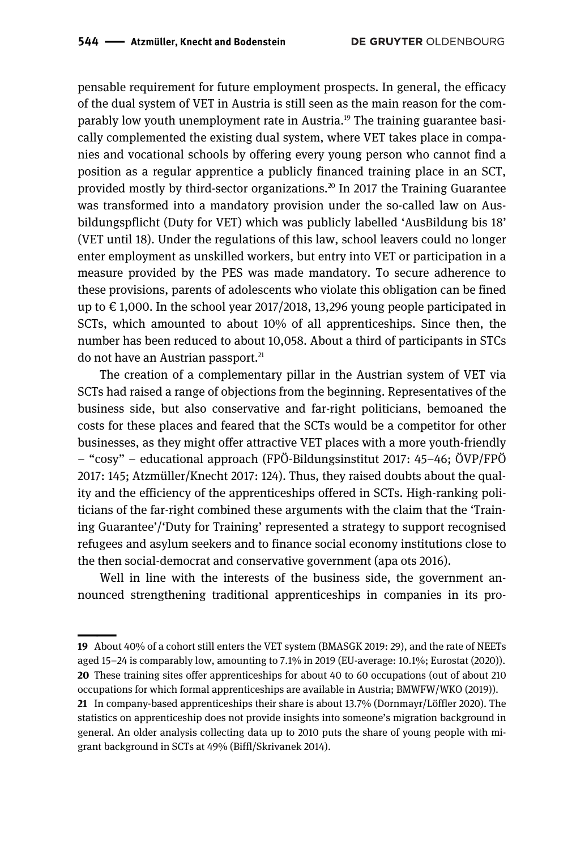pensable requirement for future employment prospects. In general, the efficacy of the dual system of VET in Austria is still seen as the main reason for the comparably low youth unemployment rate in Austria.19 The training guarantee basically complemented the existing dual system, where VET takes place in companies and vocational schools by offering every young person who cannot find a position as a regular apprentice a publicly financed training place in an SCT, provided mostly by third-sector organizations.20 In 2017 the Training Guarantee was transformed into a mandatory provision under the so-called law on Ausbildungspflicht (Duty for VET) which was publicly labelled 'AusBildung bis 18' (VET until 18). Under the regulations of this law, school leavers could no longer enter employment as unskilled workers, but entry into VET or participation in a measure provided by the PES was made mandatory. To secure adherence to these provisions, parents of adolescents who violate this obligation can be fined up to  $\epsilon$  1,000. In the school year 2017/2018, 13,296 young people participated in SCTs, which amounted to about 10% of all apprenticeships. Since then, the number has been reduced to about 10,058. About a third of participants in STCs do not have an Austrian passport.<sup>21</sup>

The creation of a complementary pillar in the Austrian system of VET via SCTs had raised a range of objections from the beginning. Representatives of the business side, but also conservative and far-right politicians, bemoaned the costs for these places and feared that the SCTs would be a competitor for other businesses, as they might offer attractive VET places with a more youth-friendly – "cosy" – educational approach (FPÖ-Bildungsinstitut 2017: 45–46; ÖVP/FPÖ 2017: 145; Atzmüller/Knecht 2017: 124). Thus, they raised doubts about the quality and the efficiency of the apprenticeships offered in SCTs. High-ranking politicians of the far-right combined these arguments with the claim that the 'Training Guarantee'/'Duty for Training' represented a strategy to support recognised refugees and asylum seekers and to finance social economy institutions close to the then social-democrat and conservative government (apa ots 2016).

Well in line with the interests of the business side, the government announced strengthening traditional apprenticeships in companies in its pro-

<sup>————&</sup>lt;br>|<br>| **19** About 40% of a cohort still enters the VET system (BMASGK 2019: 29), and the rate of NEETs aged 15–24 is comparably low, amounting to 7.1% in 2019 (EU-average: 10.1%; Eurostat (2020)). **20** These training sites offer apprenticeships for about 40 to 60 occupations (out of about 210 occupations for which formal apprenticeships are available in Austria; BMWFW/WKO (2019)).

**<sup>21</sup>** In company-based apprenticeships their share is about 13.7% (Dornmayr/Löffler 2020). The statistics on apprenticeship does not provide insights into someone's migration background in general. An older analysis collecting data up to 2010 puts the share of young people with migrant background in SCTs at 49% (Biffl/Skrivanek 2014).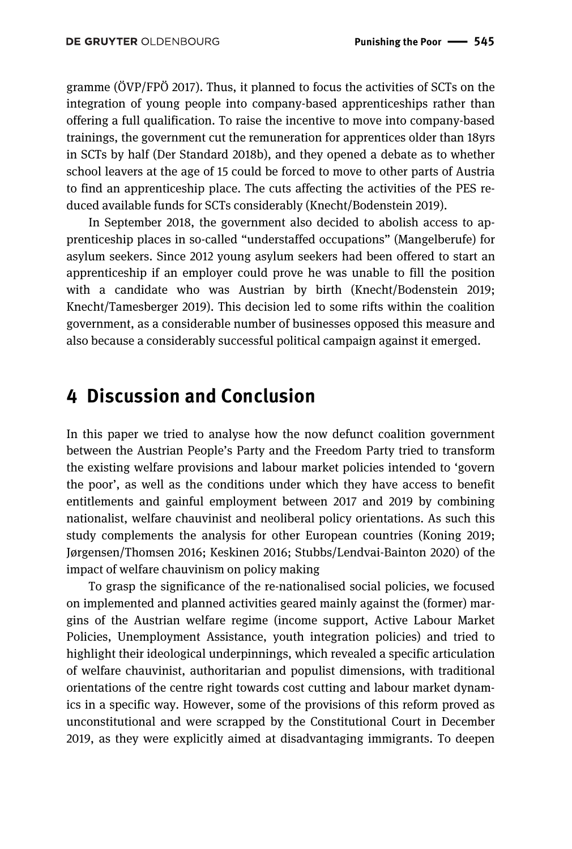gramme (ÖVP/FPÖ 2017). Thus, it planned to focus the activities of SCTs on the integration of young people into company-based apprenticeships rather than offering a full qualification. To raise the incentive to move into company-based trainings, the government cut the remuneration for apprentices older than 18yrs in SCTs by half (Der Standard 2018b), and they opened a debate as to whether school leavers at the age of 15 could be forced to move to other parts of Austria to find an apprenticeship place. The cuts affecting the activities of the PES reduced available funds for SCTs considerably (Knecht/Bodenstein 2019).

In September 2018, the government also decided to abolish access to apprenticeship places in so-called "understaffed occupations" (Mangelberufe) for asylum seekers. Since 2012 young asylum seekers had been offered to start an apprenticeship if an employer could prove he was unable to fill the position with a candidate who was Austrian by birth (Knecht/Bodenstein 2019; Knecht/Tamesberger 2019). This decision led to some rifts within the coalition government, as a considerable number of businesses opposed this measure and also because a considerably successful political campaign against it emerged.

### **4 Discussion and Conclusion**

In this paper we tried to analyse how the now defunct coalition government between the Austrian People's Party and the Freedom Party tried to transform the existing welfare provisions and labour market policies intended to 'govern the poor', as well as the conditions under which they have access to benefit entitlements and gainful employment between 2017 and 2019 by combining nationalist, welfare chauvinist and neoliberal policy orientations. As such this study complements the analysis for other European countries (Koning 2019; Jørgensen/Thomsen 2016; Keskinen 2016; Stubbs/Lendvai‐Bainton 2020) of the impact of welfare chauvinism on policy making

To grasp the significance of the re-nationalised social policies, we focused on implemented and planned activities geared mainly against the (former) margins of the Austrian welfare regime (income support, Active Labour Market Policies, Unemployment Assistance, youth integration policies) and tried to highlight their ideological underpinnings, which revealed a specific articulation of welfare chauvinist, authoritarian and populist dimensions, with traditional orientations of the centre right towards cost cutting and labour market dynamics in a specific way. However, some of the provisions of this reform proved as unconstitutional and were scrapped by the Constitutional Court in December 2019, as they were explicitly aimed at disadvantaging immigrants. To deepen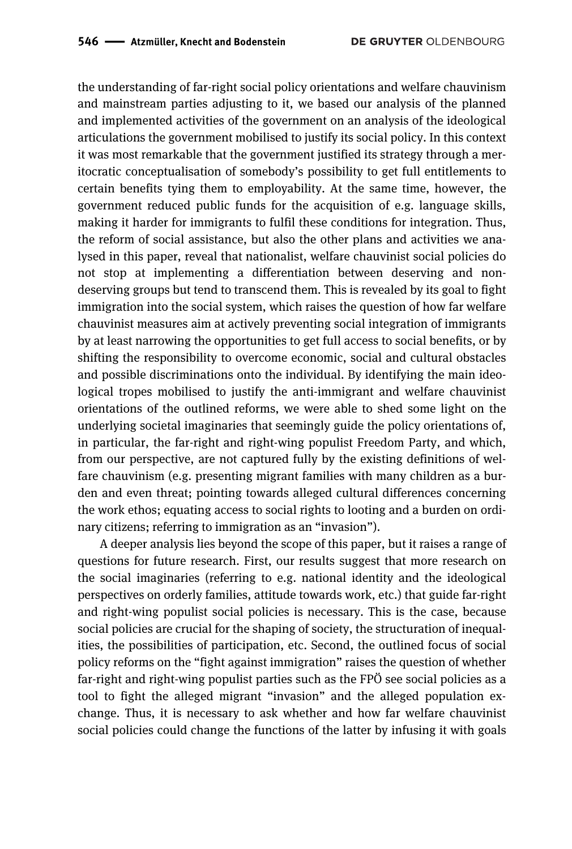the understanding of far-right social policy orientations and welfare chauvinism and mainstream parties adjusting to it, we based our analysis of the planned and implemented activities of the government on an analysis of the ideological articulations the government mobilised to justify its social policy. In this context it was most remarkable that the government justified its strategy through a meritocratic conceptualisation of somebody's possibility to get full entitlements to certain benefits tying them to employability. At the same time, however, the government reduced public funds for the acquisition of e.g. language skills, making it harder for immigrants to fulfil these conditions for integration. Thus, the reform of social assistance, but also the other plans and activities we analysed in this paper, reveal that nationalist, welfare chauvinist social policies do not stop at implementing a differentiation between deserving and nondeserving groups but tend to transcend them. This is revealed by its goal to fight immigration into the social system, which raises the question of how far welfare chauvinist measures aim at actively preventing social integration of immigrants by at least narrowing the opportunities to get full access to social benefits, or by shifting the responsibility to overcome economic, social and cultural obstacles and possible discriminations onto the individual. By identifying the main ideological tropes mobilised to justify the anti-immigrant and welfare chauvinist orientations of the outlined reforms, we were able to shed some light on the underlying societal imaginaries that seemingly guide the policy orientations of, in particular, the far-right and right-wing populist Freedom Party, and which, from our perspective, are not captured fully by the existing definitions of welfare chauvinism (e.g. presenting migrant families with many children as a burden and even threat; pointing towards alleged cultural differences concerning the work ethos; equating access to social rights to looting and a burden on ordinary citizens; referring to immigration as an "invasion").

A deeper analysis lies beyond the scope of this paper, but it raises a range of questions for future research. First, our results suggest that more research on the social imaginaries (referring to e.g. national identity and the ideological perspectives on orderly families, attitude towards work, etc.) that guide far-right and right-wing populist social policies is necessary. This is the case, because social policies are crucial for the shaping of society, the structuration of inequalities, the possibilities of participation, etc. Second, the outlined focus of social policy reforms on the "fight against immigration" raises the question of whether far-right and right-wing populist parties such as the FPÖ see social policies as a tool to fight the alleged migrant "invasion" and the alleged population exchange. Thus, it is necessary to ask whether and how far welfare chauvinist social policies could change the functions of the latter by infusing it with goals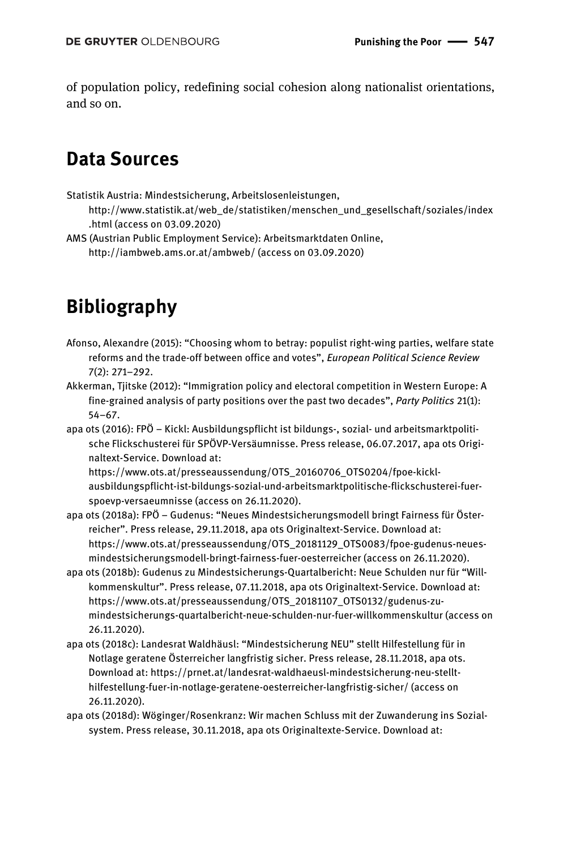of population policy, redefining social cohesion along nationalist orientations, and so on.

## **Data Sources**

Statistik Austria: Mindestsicherung, Arbeitslosenleistungen,

http://www.statistik.at/web\_de/statistiken/menschen\_und\_gesellschaft/soziales/index .html (access on 03.09.2020)

AMS (Austrian Public Employment Service): Arbeitsmarktdaten Online, http://iambweb.ams.or.at/ambweb/ (access on 03.09.2020)

# **Bibliography**

- Afonso, Alexandre (2015): "Choosing whom to betray: populist right-wing parties, welfare state reforms and the trade-off between office and votes", *European Political Science Review* 7(2): 271–292.
- Akkerman, Tjitske (2012): "Immigration policy and electoral competition in Western Europe: A fine-grained analysis of party positions over the past two decades", *Party Politics* 21(1): 54–67.
- apa ots (2016): FPÖ Kickl: Ausbildungspflicht ist bildungs-, sozial- und arbeitsmarktpolitische Flickschusterei für SPÖVP-Versäumnisse. Press release, 06.07.2017, apa ots Originaltext-Service. Download at:

https://www.ots.at/presseaussendung/OTS\_20160706\_OTS0204/fpoe-kicklausbildungspflicht-ist-bildungs-sozial-und-arbeitsmarktpolitische-flickschusterei-fuerspoevp-versaeumnisse (access on 26.11.2020).

- apa ots (2018a): FPÖ Gudenus: "Neues Mindestsicherungsmodell bringt Fairness für Österreicher". Press release, 29.11.2018, apa ots Originaltext-Service. Download at: https://www.ots.at/presseaussendung/OTS\_20181129\_OTS0083/fpoe-gudenus-neuesmindestsicherungsmodell-bringt-fairness-fuer-oesterreicher (access on 26.11.2020).
- apa ots (2018b): Gudenus zu Mindestsicherungs-Quartalbericht: Neue Schulden nur für "Willkommenskultur". Press release, 07.11.2018, apa ots Originaltext-Service. Download at: https://www.ots.at/presseaussendung/OTS\_20181107\_OTS0132/gudenus-zumindestsicherungs-quartalbericht-neue-schulden-nur-fuer-willkommenskultur (access on 26.11.2020).
- apa ots (2018c): Landesrat Waldhäusl: "Mindestsicherung NEU" stellt Hilfestellung für in Notlage geratene Österreicher langfristig sicher. Press release, 28.11.2018, apa ots. Download at: https://prnet.at/landesrat-waldhaeusl-mindestsicherung-neu-stellthilfestellung-fuer-in-notlage-geratene-oesterreicher-langfristig-sicher/ (access on 26.11.2020).
- apa ots (2018d): Wöginger/Rosenkranz: Wir machen Schluss mit der Zuwanderung ins Sozialsystem. Press release, 30.11.2018, apa ots Originaltexte-Service. Download at: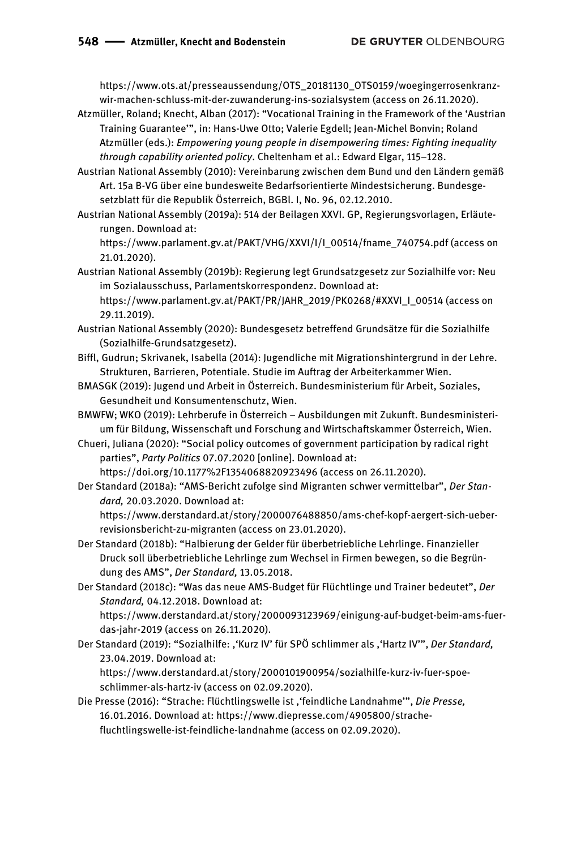https://www.ots.at/presseaussendung/OTS\_20181130\_OTS0159/woegingerrosenkranzwir-machen-schluss-mit-der-zuwanderung-ins-sozialsystem (access on 26.11.2020).

- Atzmüller, Roland; Knecht, Alban (2017): "Vocational Training in the Framework of the 'Austrian Training Guarantee'", in: Hans-Uwe Otto; Valerie Egdell; Jean-Michel Bonvin; Roland Atzmüller (eds.): *Empowering young people in disempowering times: Fighting inequality through capability oriented policy*. Cheltenham et al.: Edward Elgar, 115–128.
- Austrian National Assembly (2010): Vereinbarung zwischen dem Bund und den Ländern gemäß Art. 15a B-VG über eine bundesweite Bedarfsorientierte Mindestsicherung. Bundesgesetzblatt für die Republik Österreich, BGBl. I, No. 96, 02.12.2010.
- Austrian National Assembly (2019a): 514 der Beilagen XXVI. GP, Regierungsvorlagen, Erläuterungen. Download at:

https://www.parlament.gv.at/PAKT/VHG/XXVI/I/I\_00514/fname\_740754.pdf (access on 21.01.2020).

- Austrian National Assembly (2019b): Regierung legt Grundsatzgesetz zur Sozialhilfe vor: Neu im Sozialausschuss, Parlamentskorrespondenz. Download at: https://www.parlament.gv.at/PAKT/PR/JAHR\_2019/PK0268/#XXVI\_I\_00514 (access on 29.11.2019).
- Austrian National Assembly (2020): Bundesgesetz betreffend Grundsätze für die Sozialhilfe (Sozialhilfe-Grundsatzgesetz).
- Biffl, Gudrun; Skrivanek, Isabella (2014): Jugendliche mit Migrationshintergrund in der Lehre. Strukturen, Barrieren, Potentiale. Studie im Auftrag der Arbeiterkammer Wien.
- BMASGK (2019): Jugend und Arbeit in Österreich. Bundesministerium für Arbeit, Soziales, Gesundheit und Konsumentenschutz, Wien.
- BMWFW; WKO (2019): Lehrberufe in Österreich Ausbildungen mit Zukunft. Bundesministerium für Bildung, Wissenschaft und Forschung and Wirtschaftskammer Österreich, Wien.
- Chueri, Juliana (2020): "Social policy outcomes of government participation by radical right parties", *Party Politics* 07.07.2020 [online]. Download at:

https://doi.org/10.1177%2F1354068820923496 (access on 26.11.2020).

Der Standard (2018a): "AMS-Bericht zufolge sind Migranten schwer vermittelbar", *Der Standard,* 20.03.2020. Download at:

https://www.derstandard.at/story/2000076488850/ams-chef-kopf-aergert-sich-ueberrevisionsbericht-zu-migranten (access on 23.01.2020).

- Der Standard (2018b): "Halbierung der Gelder für überbetriebliche Lehrlinge. Finanzieller Druck soll überbetriebliche Lehrlinge zum Wechsel in Firmen bewegen, so die Begründung des AMS", *Der Standard,* 13.05.2018.
- Der Standard (2018c): "Was das neue AMS-Budget für Flüchtlinge und Trainer bedeutet", *Der Standard,* 04.12.2018. Download at:

https://www.derstandard.at/story/2000093123969/einigung-auf-budget-beim-ams-fuerdas-jahr-2019 (access on 26.11.2020).

Der Standard (2019): "Sozialhilfe: ,'Kurz IV' für SPÖ schlimmer als ,'Hartz IV'", *Der Standard,*  23.04.2019. Download at:

https://www.derstandard.at/story/2000101900954/sozialhilfe-kurz-iv-fuer-spoeschlimmer-als-hartz-iv (access on 02.09.2020).

Die Presse (2016): "Strache: Flüchtlingswelle ist ,'feindliche Landnahme'", *Die Presse,*  16.01.2016. Download at: https://www.diepresse.com/4905800/strachefluchtlingswelle-ist-feindliche-landnahme (access on 02.09.2020).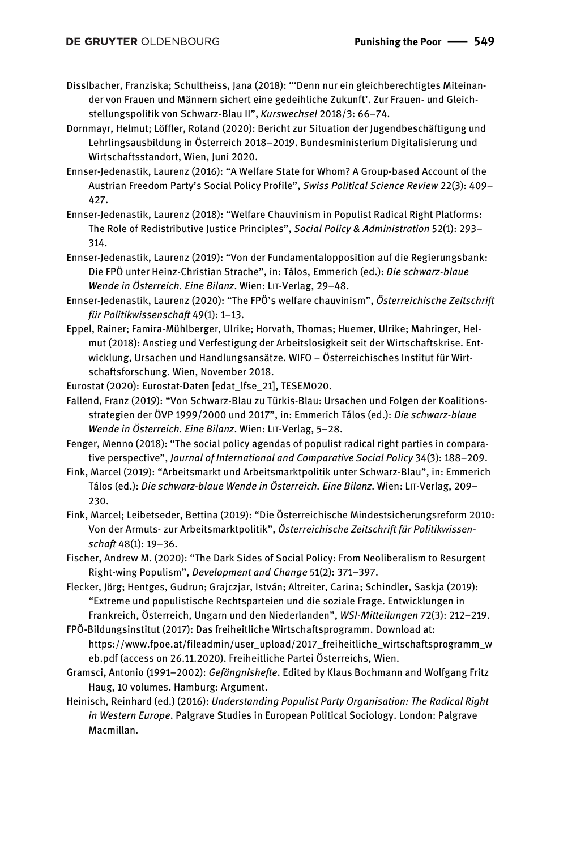- Disslbacher, Franziska; Schultheiss, Jana (2018): "'Denn nur ein gleichberechtigtes Miteinander von Frauen und Männern sichert eine gedeihliche Zukunft'. Zur Frauen- und Gleichstellungspolitik von Schwarz-Blau II", *Kurswechsel* 2018/3: 66–74.
- Dornmayr, Helmut; Löffler, Roland (2020): Bericht zur Situation der Jugendbeschäftigung und Lehrlingsausbildung in Österreich 2018–2019. Bundesministerium Digitalisierung und Wirtschaftsstandort, Wien, Juni 2020.
- Ennser-Jedenastik, Laurenz (2016): "A Welfare State for Whom? A Group-based Account of the Austrian Freedom Party's Social Policy Profile", *Swiss Political Science Review* 22(3): 409– 427.
- Ennser-Jedenastik, Laurenz (2018): "Welfare Chauvinism in Populist Radical Right Platforms: The Role of Redistributive Justice Principles", *Social Policy & Administration* 52(1): 293– 314.
- Ennser-Jedenastik, Laurenz (2019): "Von der Fundamentalopposition auf die Regierungsbank: Die FPÖ unter Heinz-Christian Strache", in: Tálos, Emmerich (ed.): *Die schwarz-blaue Wende in Österreich. Eine Bilanz*. Wien: LIT-Verlag, 29–48.
- Ennser-Jedenastik, Laurenz (2020): "The FPÖ's welfare chauvinism", *Österreichische Zeitschrift für Politikwissenschaft* 49(1): 1–13.
- Eppel, Rainer; Famira-Mühlberger, Ulrike; Horvath, Thomas; Huemer, Ulrike; Mahringer, Helmut (2018): Anstieg und Verfestigung der Arbeitslosigkeit seit der Wirtschaftskrise. Entwicklung, Ursachen und Handlungsansätze. WIFO – Österreichisches Institut für Wirtschaftsforschung. Wien, November 2018.
- Eurostat (2020): Eurostat-Daten [edat\_lfse\_21], TESEM020.
- Fallend, Franz (2019): "Von Schwarz-Blau zu Türkis-Blau: Ursachen und Folgen der Koalitionsstrategien der ÖVP 1999/2000 und 2017", in: Emmerich Tálos (ed.): *Die schwarz-blaue Wende in Österreich. Eine Bilanz*. Wien: LIT-Verlag, 5–28.
- Fenger, Menno (2018): "The social policy agendas of populist radical right parties in comparative perspective", *Journal of International and Comparative Social Policy* 34(3): 188–209.
- Fink, Marcel (2019): "Arbeitsmarkt und Arbeitsmarktpolitik unter Schwarz-Blau", in: Emmerich Tálos (ed.): *Die schwarz-blaue Wende in Österreich. Eine Bilanz*. Wien: LIT-Verlag, 209– 230.
- Fink, Marcel; Leibetseder, Bettina (2019): "Die Österreichische Mindestsicherungsreform 2010: Von der Armuts- zur Arbeitsmarktpolitik", *Österreichische Zeitschrift für Politikwissenschaft* 48(1): 19–36.
- Fischer, Andrew M. (2020): "The Dark Sides of Social Policy: From Neoliberalism to Resurgent Right‐wing Populism", *Development and Change* 51(2): 371–397.
- Flecker, Jörg; Hentges, Gudrun; Grajczjar, István; Altreiter, Carina; Schindler, Saskja (2019): "Extreme und populistische Rechtsparteien und die soziale Frage. Entwicklungen in Frankreich, Österreich, Ungarn und den Niederlanden", *WSI-Mitteilungen* 72(3): 212–219.
- FPÖ-Bildungsinstitut (2017): Das freiheitliche Wirtschaftsprogramm. Download at: https://www.fpoe.at/fileadmin/user\_upload/2017\_freiheitliche\_wirtschaftsprogramm\_w eb.pdf (access on 26.11.2020). Freiheitliche Partei Österreichs, Wien.
- Gramsci, Antonio (1991–2002): *Gefängnishefte*. Edited by Klaus Bochmann and Wolfgang Fritz Haug, 10 volumes. Hamburg: Argument.
- Heinisch, Reinhard (ed.) (2016): *Understanding Populist Party Organisation: The Radical Right in Western Europe*. Palgrave Studies in European Political Sociology. London: Palgrave Macmillan.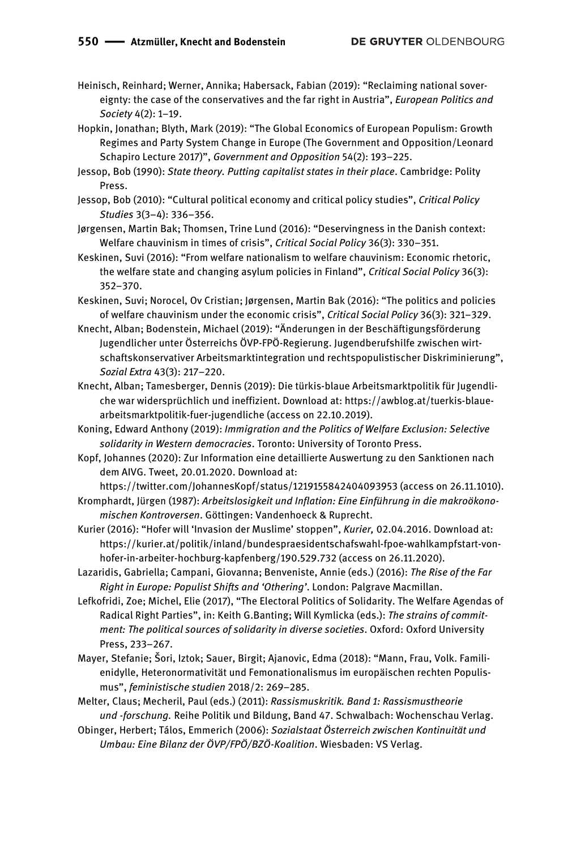Heinisch, Reinhard; Werner, Annika; Habersack, Fabian (2019): "Reclaiming national sovereignty: the case of the conservatives and the far right in Austria", *European Politics and Society* 4(2): 1–19.

- Hopkin, Jonathan; Blyth, Mark (2019): "The Global Economics of European Populism: Growth Regimes and Party System Change in Europe (The Government and Opposition/Leonard Schapiro Lecture 2017)", *Government and Opposition* 54(2): 193–225.
- Jessop, Bob (1990): *State theory. Putting capitalist states in their place*. Cambridge: Polity Press.
- Jessop, Bob (2010): "Cultural political economy and critical policy studies", *Critical Policy Studies* 3(3–4): 336–356.
- Jørgensen, Martin Bak; Thomsen, Trine Lund (2016): "Deservingness in the Danish context: Welfare chauvinism in times of crisis", *Critical Social Policy* 36(3): 330–351.
- Keskinen, Suvi (2016): "From welfare nationalism to welfare chauvinism: Economic rhetoric, the welfare state and changing asylum policies in Finland", *Critical Social Policy* 36(3): 352–370.
- Keskinen, Suvi; Norocel, Ov Cristian; Jørgensen, Martin Bak (2016): "The politics and policies of welfare chauvinism under the economic crisis", *Critical Social Policy* 36(3): 321–329.
- Knecht, Alban; Bodenstein, Michael (2019): "Änderungen in der Beschäftigungsförderung Jugendlicher unter Österreichs ÖVP-FPÖ-Regierung. Jugendberufshilfe zwischen wirtschaftskonservativer Arbeitsmarktintegration und rechtspopulistischer Diskriminierung", *Sozial Extra* 43(3): 217–220.
- Knecht, Alban; Tamesberger, Dennis (2019): Die türkis-blaue Arbeitsmarktpolitik für Jugendliche war widersprüchlich und ineffizient. Download at: https://awblog.at/tuerkis-blauearbeitsmarktpolitik-fuer-jugendliche (access on 22.10.2019).
- Koning, Edward Anthony (2019): *Immigration and the Politics of Welfare Exclusion: Selective solidarity in Western democracies*. Toronto: University of Toronto Press.
- Kopf, Johannes (2020): Zur Information eine detaillierte Auswertung zu den Sanktionen nach dem AIVG. Tweet, 20.01.2020. Download at:

https://twitter.com/JohannesKopf/status/1219155842404093953 (access on 26.11.1010). Kromphardt, Jürgen (1987): *Arbeitslosigkeit und Inflation: Eine Einführung in die makroökonomischen Kontroversen*. Göttingen: Vandenhoeck & Ruprecht.

- Kurier (2016): "Hofer will 'Invasion der Muslime' stoppen", *Kurier,* 02.04.2016. Download at: https://kurier.at/politik/inland/bundespraesidentschafswahl-fpoe-wahlkampfstart-vonhofer-in-arbeiter-hochburg-kapfenberg/190.529.732 (access on 26.11.2020).
- Lazaridis, Gabriella; Campani, Giovanna; Benveniste, Annie (eds.) (2016): *The Rise of the Far Right in Europe: Populist Shifts and 'Othering'*. London: Palgrave Macmillan.
- Lefkofridi, Zoe; Michel, Elie (2017), "The Electoral Politics of Solidarity. The Welfare Agendas of Radical Right Parties", in: Keith G.Banting; Will Kymlicka (eds.): *The strains of commitment: The political sources of solidarity in diverse societies*. Oxford: Oxford University Press, 233–267.
- Mayer, Stefanie; Šori, Iztok; Sauer, Birgit; Ajanovic, Edma (2018): "Mann, Frau, Volk. Familienidylle, Heteronormativität und Femonationalismus im europäischen rechten Populismus", *feministische studien* 2018/2: 269–285.
- Melter, Claus; Mecheril, Paul (eds.) (2011): *Rassismuskritik. Band 1: Rassismustheorie und -forschung.* Reihe Politik und Bildung, Band 47. Schwalbach: Wochenschau Verlag.
- Obinger, Herbert; Tálos, Emmerich (2006): *Sozialstaat Österreich zwischen Kontinuität und Umbau: Eine Bilanz der ÖVP/FPÖ/BZÖ-Koalition*. Wiesbaden: VS Verlag.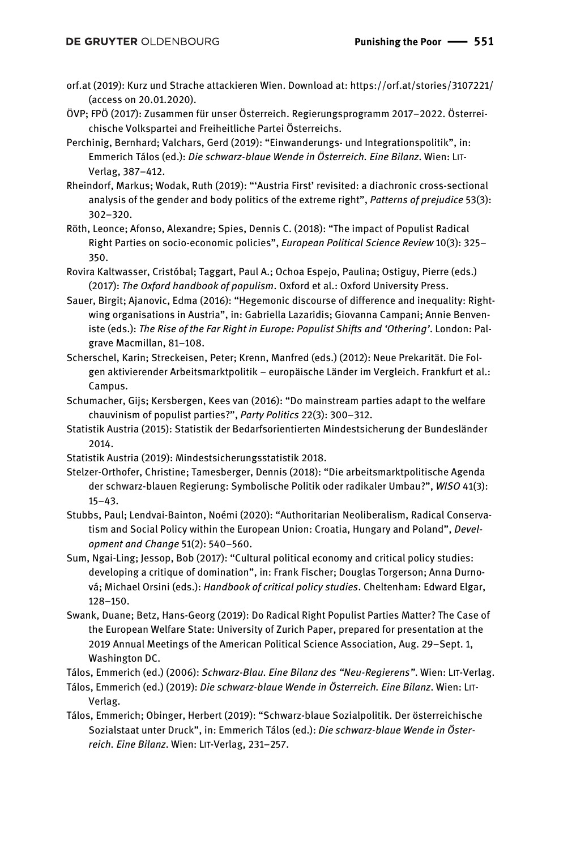- orf.at (2019): Kurz und Strache attackieren Wien. Download at: https://orf.at/stories/3107221/ (access on 20.01.2020).
- ÖVP; FPÖ (2017): Zusammen für unser Österreich. Regierungsprogramm 2017–2022. Österreichische Volkspartei and Freiheitliche Partei Österreichs.
- Perchinig, Bernhard; Valchars, Gerd (2019): "Einwanderungs- und Integrationspolitik", in: Emmerich Tálos (ed.): *Die schwarz-blaue Wende in Österreich. Eine Bilanz*. Wien: LIT-Verlag, 387–412.
- Rheindorf, Markus; Wodak, Ruth (2019): "'Austria First' revisited: a diachronic cross-sectional analysis of the gender and body politics of the extreme right", *Patterns of prejudice* 53(3): 302–320.
- Röth, Leonce; Afonso, Alexandre; Spies, Dennis C. (2018): "The impact of Populist Radical Right Parties on socio-economic policies", *European Political Science Review* 10(3): 325– 350.
- Rovira Kaltwasser, Cristóbal; Taggart, Paul A.; Ochoa Espejo, Paulina; Ostiguy, Pierre (eds.) (2017): *The Oxford handbook of populism*. Oxford et al.: Oxford University Press.
- Sauer, Birgit; Ajanovic, Edma (2016): "Hegemonic discourse of difference and inequality: Rightwing organisations in Austria", in: Gabriella Lazaridis; Giovanna Campani; Annie Benveniste (eds.): *The Rise of the Far Right in Europe: Populist Shifts and 'Othering'*. London: Palgrave Macmillan, 81–108.
- Scherschel, Karin; Streckeisen, Peter; Krenn, Manfred (eds.) (2012): Neue Prekarität. Die Folgen aktivierender Arbeitsmarktpolitik – europäische Länder im Vergleich. Frankfurt et al.: Campus.
- Schumacher, Gijs; Kersbergen, Kees van (2016): "Do mainstream parties adapt to the welfare chauvinism of populist parties?", *Party Politics* 22(3): 300–312.
- Statistik Austria (2015): Statistik der Bedarfsorientierten Mindestsicherung der Bundesländer 2014.
- Statistik Austria (2019): Mindestsicherungsstatistik 2018.
- Stelzer-Orthofer, Christine; Tamesberger, Dennis (2018): "Die arbeitsmarktpolitische Agenda der schwarz-blauen Regierung: Symbolische Politik oder radikaler Umbau?", *WISO* 41(3): 15–43.
- Stubbs, Paul; Lendvai‐Bainton, Noémi (2020): "Authoritarian Neoliberalism, Radical Conservatism and Social Policy within the European Union: Croatia, Hungary and Poland", *Development and Change* 51(2): 540–560.
- Sum, Ngai-Ling; Jessop, Bob (2017): "Cultural political economy and critical policy studies: developing a critique of domination", in: Frank Fischer; Douglas Torgerson; Anna Durnová; Michael Orsini (eds.): *Handbook of critical policy studies*. Cheltenham: Edward Elgar, 128–150.
- Swank, Duane; Betz, Hans-Georg (2019): Do Radical Right Populist Parties Matter? The Case of the European Welfare State: University of Zurich Paper, prepared for presentation at the 2019 Annual Meetings of the American Political Science Association, Aug. 29–Sept. 1, Washington DC.

Tálos, Emmerich (ed.) (2006): *Schwarz-Blau. Eine Bilanz des "Neu-Regierens"*. Wien: LIT-Verlag.

- Tálos, Emmerich (ed.) (2019): *Die schwarz-blaue Wende in Österreich. Eine Bilanz*. Wien: LIT-Verlag.
- Tálos, Emmerich; Obinger, Herbert (2019): "Schwarz-blaue Sozialpolitik. Der österreichische Sozialstaat unter Druck", in: Emmerich Tálos (ed.): *Die schwarz-blaue Wende in Österreich. Eine Bilanz*. Wien: LIT-Verlag, 231–257.